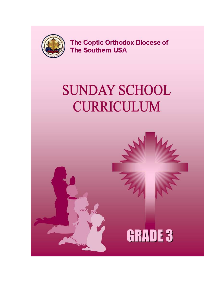

The Coptic Orthodox Diocese of<br>The Southern USA

# **SUNDAY SCHOOL CURRICULUM**

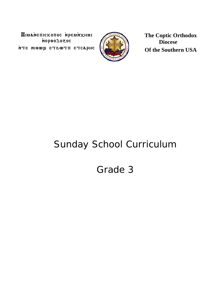Πιαλήθητα του δρεαήχειαι nopoo $\Delta$ ozoc nde niews etswan etcaphc



**The Coptic Orthodox Diocese Of the Southern USA** 

# Sunday School Curriculum

Grade 3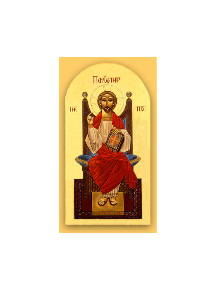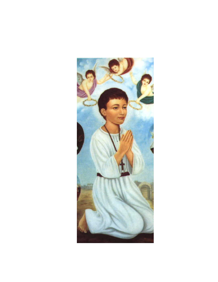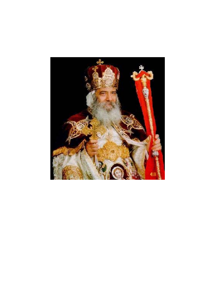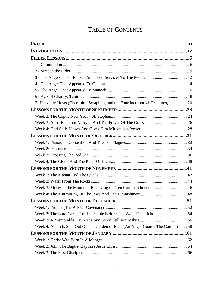# TABLE OF CONTENTS

| 7- Heavenly Hosts (Cherubim, Seraphim, and the Four Incorporeal Creatures) 20  |    |
|--------------------------------------------------------------------------------|----|
|                                                                                |    |
|                                                                                |    |
|                                                                                |    |
|                                                                                |    |
|                                                                                |    |
|                                                                                |    |
|                                                                                |    |
|                                                                                |    |
|                                                                                |    |
|                                                                                |    |
|                                                                                |    |
|                                                                                |    |
|                                                                                |    |
|                                                                                |    |
|                                                                                | 51 |
|                                                                                |    |
|                                                                                |    |
|                                                                                |    |
| Week 4: Adam Is Sent Out Of The Garden of Eden (An Angel Guards The Garden) 58 |    |
|                                                                                |    |
|                                                                                |    |
|                                                                                |    |
|                                                                                |    |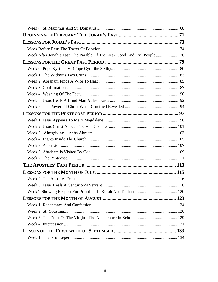| Week After Jonah's Fast: The Parable Of The Net - Good And Evil People  76 |  |
|----------------------------------------------------------------------------|--|
|                                                                            |  |
|                                                                            |  |
|                                                                            |  |
|                                                                            |  |
|                                                                            |  |
|                                                                            |  |
|                                                                            |  |
|                                                                            |  |
|                                                                            |  |
|                                                                            |  |
|                                                                            |  |
|                                                                            |  |
|                                                                            |  |
|                                                                            |  |
|                                                                            |  |
|                                                                            |  |
|                                                                            |  |
|                                                                            |  |
|                                                                            |  |
|                                                                            |  |
|                                                                            |  |
|                                                                            |  |
|                                                                            |  |
|                                                                            |  |
|                                                                            |  |
|                                                                            |  |
|                                                                            |  |
|                                                                            |  |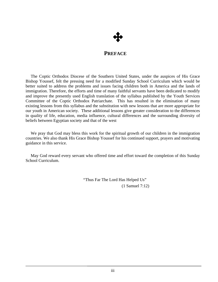

#### **PREFACE**

<span id="page-8-0"></span>The Coptic Orthodox Diocese of the Southern United States, under the auspices of His Grace Bishop Youssef, felt the pressing need for a modified Sunday School Curriculum which would be better suited to address the problems and issues facing children both in America and the lands of immigration. Therefore, the efforts and time of many faithful servants have been dedicated to modify and improve the presently used English translation of the syllabus published by the Youth Services Committee of the Coptic Orthodox Patriarchate. This has resulted in the elimination of many existing lessons from this syllabus and the substitution with new lessons that are more appropriate for our youth in American society. These additional lessons give greater consideration to the differences in quality of life, education, media influence, cultural differences and the surrounding diversity of beliefs between Egyptian society and that of the west

We pray that God may bless this work for the spiritual growth of our children in the immigration countries. We also thank His Grace Bishop Youssef for his continued support, prayers and motivating guidance in this service.

May God reward every servant who offered time and effort toward the completion of this Sunday School Curriculum.

> "Thus Far The Lord Has Helped Us" (1 Samuel 7:12)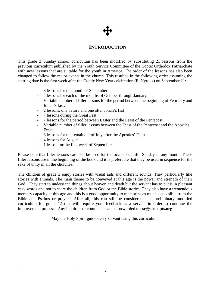

#### **INTRODUCTION**

<span id="page-9-0"></span>This grade 3 Sunday school curriculum has been modified by substituting 21 lessons from the previous curriculum published by the Youth Service Committee of the Coptic Orthodox Patriarchate with new lessons that are suitable for the youth in America. The order of the lessons has also been changed to follow the major events in the church. This resulted in the following order assuming the starting date is the first week after the Coptic New Year celebration (El Nyrouz) on September 11:

- 3 lessons for the month of September
- 4 lessons for each of the months of October through January
- Variable number of filler lessons for the period between the beginning of February and Jonah's fast.
- 2 lessons, one before and one after Jonah's fast
- 7 lessons during the Great Fast
- 7 lessons for the period between Easter and the Feast of the Pentecost
- Variable number of filler lessons between the Feast of the Pentecost and the Apostles' Feast
- 3 lessons for the remainder of July after the Apostles' Feast
- 4 lessons for August
- 1 lesson for the first week of September

Please note that filler lessons can also be used for the occasional fifth Sunday in any month. These filler lessons are in the beginning of the book and it is preferable that they be used in sequence for the sake of unity in all the churches.

The children of grade 3 enjoy stories with visual aids and different sounds. They particularly like stories with animals. The main theme to be conveyed at this age is the power and strength of their God. They start to understand things about heaven and death but the servant has to put it in pleasant easy words and not to scare the children from God or the Bible stories. They also have a tremendous memory capacity at this age and this is a good opportunity to memorize as much as possible from the Bible and Psalms or prayers. After all, this can still be considered as a preliminary modified curriculum for grade 12 that will require your feedback as a servant in order to continue the improvement process. Any inquiries or comments can be forwarded to **ssc@suscopts.org**

May the Holy Spirit guide every servant using this curriculum.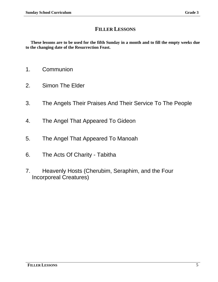# **FILLER LESSONS**

<span id="page-10-0"></span>**These lessons are to be used for the fifth Sunday in a month and to fill the empty weeks due to the changing date of the Resurrection Feast.** 

- 1. Communion
- 2. Simon The Elder
- 3. The Angels Their Praises And Their Service To The People
- 4. The Angel That Appeared To Gideon
- 5. The Angel That Appeared To Manoah
- 6. The Acts Of Charity Tabitha
- 7. Heavenly Hosts (Cherubim, Seraphim, and the Four Incorporeal Creatures)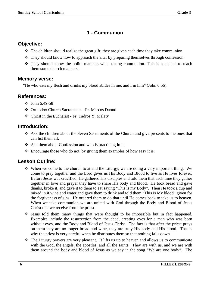# **1 - Communion**

#### <span id="page-11-0"></span>**Objective:**

- The children should realize the great gift; they are given each time they take communion.
- $\mathbf{\hat{P}}$  They should know how to approach the altar by preparing themselves through confession.
- $\hat{\mathbf{v}}$  They should know the polite manners when taking communion. This is a chance to teach them some church manners.

#### **Memory verse:**

"He who eats my flesh and drinks my blood abides in me, and I in him" (John 6:56).

#### **References:**

- $\div$  John 6:49-58
- Orthodox Church Sacraments Fr. Marcos Daoud
- Christ in the Eucharist Fr. Tadros Y. Malaty

#### **Introduction:**

- Ask the children about the Seven Sacraments of the Church and give presents to the ones that can list them all.
- $\triangle$  Ask them about Confession and who is practicing in it.
- $\triangleleft$  Encourage those who do not, by giving them examples of how easy it is.

# **Lesson Outline:**

- $\mathbf{\hat{P}}$  When we come to the church to attend the Liturgy, we are doing a very important thing. We come to pray together and the Lord gives us His Body and Blood to live as He lives forever. Before Jesus was crucified, He gathered His disciples and told them that each time they gather together in love and prayer they have to share His body and blood. He took bread and gave thanks, broke it, and gave it to them to eat saying "This is my Body". Then He took a cup and mixed in it wine and water and gave them to drink and told them "This is My blood" given for the forgiveness of sins. He ordered them to do that until He comes back to take us to heaven. When we take communion we are united with God through the Body and Blood of Jesus Christ that we receive from the priest.
- Jesus told them many things that were thought to be impossible but in fact happened. Examples include the resurrection from the dead, creating eyes for a man who was born without eyes, and the Body and Blood of Jesus Christ. The fact is that after the priest prays on them they are no longer bread and wine, they are truly His body and His blood. That is why the priest is very careful when he distributes them so that nothing falls down.
- The Liturgy prayers are very pleasant. It lifts us up to heaven and allows us to communicate with the God, the angels, the apostles, and all the saints. They are with us, and we are with them around the body and blood of Jesus as we say in the song "We are one body". The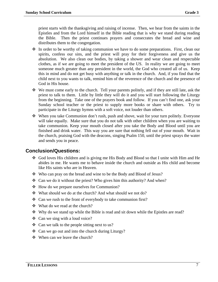priest starts with the thanksgiving and raising of incense. Then, we hear from the saints in the Epistles and from the Lord himself in the Bible reading that is why we stand during reading the Bible. Then the priest continues prayers and consecrates the bread and wine and distributes them to the congregation.

- $\cdot \cdot$  In order to be worthy of taking communion we have to do some preparations. First, clean our spirits, confess our sins, and the priest will pray for their forgiveness and give us the absolution. We also clean our bodies, by taking a shower and wear clean and respectable clothes, as if we are going to meet the president of the US. In reality we are going to meet someone much greater than any president in the world, the God who created all of us. Keep this in mind and do not get busy with anything or talk in the church. And, if you find that the child next to you wants to talk, remind him of the reverence of the church and the presence of God in His house.
- We must come early to the church. Tell your parents politely, and if they are still late, ask the priest to talk to them. Little by little they will do it and you will start following the Liturgy from the beginning. Take one of the prayers book and follow. If you can't find one, ask your Sunday school teacher or the priest to supply more books or share with others. Try to participate in the Liturgy hymns with a soft voice, not louder than others.
- When you take Communion don't rush, push and shove, wait for your turn politely. Everyone will take equally. Make sure that you do not talk with other children when you are waiting to take communion. Keep your mouth closed after you take the Body and Blood until you are finished and drink water. This way you are sure that nothing fell out of your mouth. Wait in the church, praising God with the deacons, singing Psalm 150, until the priest sprays the water and sends you in peace.

#### **Conclusion/Questions:**

- God loves His children and is giving me His Body and Blood so that I unite with Him and He abides in me. He wants me to behave inside the church and outside as His child and become like His saints who are in Heaven.
- Who can pray on the bread and wine to be the Body and Blood of Jesus?
- $\triangle$  Can we do it without the priest? Who gives him this authority? And when?
- How do we prepare ourselves for Communion?
- What should we do at the church? And what should we not do?
- Can we rush to the front of everybody to take communion first?
- What do we read at the church?
- Why do we stand up while the Bible is read and sit down while the Epistles are read?
- $\triangleleft$  Can we sing with a loud voice?
- $\triangleleft$  Can we talk to the people sitting next to us?
- Can we go out and into the church during Liturgy?
- When can we leave the church?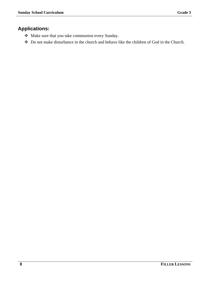- Make sure that you take communion every Sunday.
- Do not make disturbance in the church and behave like the children of God in the Church.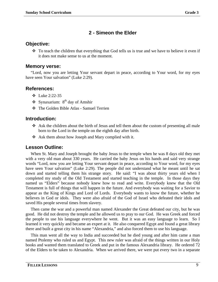### **2 - Simeon the Elder**

#### <span id="page-14-0"></span>**Objective:**

 $\cdot \cdot$  To teach the children that everything that God tells us is true and we have to believe it even if it does not make sense to us at the moment.

#### **Memory verse:**

"Lord, now you are letting Your servant depart in peace, according to Your word, for my eyes have seen Your salvation" (Luke 2:29).

#### **References:**

- Luke 2:22-35
- $\div$  Synaxarium: 8<sup>th</sup> day of Amshir
- The Golden Bible Atlas Samuel Terrien

#### **Introduction:**

- Ask the children about the birth of Jesus and tell them about the custom of presenting all male born to the Lord in the temple on the eighth day after birth.
- Ask them about how Joseph and Mary complied with it.

#### **Lesson Outline:**

When St. Mary and Joseph brought the baby Jesus to the temple when he was 8 days old they met with a very old man about 330 years. He carried the baby Jesus on his hands and said very strange words "Lord, now you are letting Your servant depart in peace, according to Your word, for my eyes have seen Your salvation" (Luke 2:29). The people did not understand what he meant until he sat down and started telling them his strange story. He said: "I was about thirty years old when I completed my study of the Old Testament and started teaching in the temple. In those days they named us "Elders" because nobody knew how to read and write. Everybody knew that the Old Testament is full of things that will happen in the future. And everybody was waiting for a Savior to appear as the King of Kings and Lord of Lords. Everybody wants to know the future, whether he believes in God or idols. They were also afraid of the God of Israel who defeated their idols and saved His people several times from slavery.

Then came the war and a powerful man named Alexander the Great defeated our city, but he was good. He did not destroy the temple and he allowed us to pray to our God. He was Greek and forced the people to use his language everywhere he went. But it was an easy language to learn. So I learned it very quickly and became an expert at it. He also conquered Egypt and found a great library there and built a great city in his name "Alexandria," and also forced them to use his language.

This man went all the way to India and succeeded but he died young and after him came a man named Ptolemy who ruled us and Egypt. This new ruler was afraid of the things written in our Holy books and wanted them translated to Greek and put in the famous Alexandria library. He ordered 72 of the Elders to be taken to Alexandria. When we arrived there, we were put every two in a separate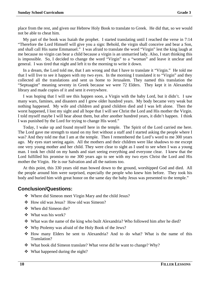place from the rest, and given our Hebrew Holy Book to translate to Greek. He did that, so we would not be able to cheat him.

My part of the book was Isaiah the prophet. I started translating until I reached the verse in 7:14 "Therefore the Lord Himself will give you a sign: Behold, the virgin shall conceive and bear a Son, and shall call His name Emmanuel." I was afraid to translate the word "Virgin" lest the king laugh at me because no virgin can bear a child because a virgin is an unmarried lady. Also, I start thinking this is impossible. So, I decided to change the word "Virgin" to a "woman" and leave it unclear and general. I was tired that night and left it to the morning to write it down.

In a dream, the Lord told me, that I am wrong and that I have to translate it "Virgin." He told me that I will live to see it happen with my two eyes. In the morning I translated it to "Virgin" and they collected all the translations and sent us home to Jerusalem. They named this translation the "Septuagint" meaning seventy in Greek because we were 72 Elders. They kept it in Alexandria library and made copies of it and sent it everywhere.

I was hoping that I will see this happen soon, a Virgin with the baby Lord, but it didn't. I saw many wars, famines, and disasters and I grew older hundred years. My body became very weak but nothing happened. My wife and children and grand children died and I was left alone. Then the worst happened, I lost my sight and all hope that I will see Christ the Lord and His mother the Virgin. I told myself maybe I will hear about them, but after another hundred years, it didn't happen. I think I was punished by the Lord for trying to change His word."

Today, I wake up and found myself here in the temple. The Spirit of the Lord carried me here. The Lord gave me strength to stand on my feet without a staff and I started asking the people where I was? And they told me that I am at the temple. Then I remembered the Lord's word to me 300 years ago. My eyes start seeing again. All the mothers and their children were like shadows to me except one very young mother and her child. They were clear to sight as I used to see when I was a young man. I took her child on my hands and start seeing everything and everyone clear. I knew that the Lord fulfilled his promise to me 300 years ago to see with my two eyes Christ the Lord and His mother the Virgin. He is our Salvation and all the nations too.

At this point, this 330 years old man bowed down to the ground, worshipped God and died. All the people around him were surprised, especially the people who knew him before. They took his body and buried him with great honor on the same day the baby Jesus was presented to the temple."

#### **Conclusion/Questions:**

- Where did Simeon meet Virgin Mary and the child Jesus?
- How old was Jesus? How old was Simeon?
- When did Simeon die?
- What was his work?
- $\bullet$  What was the name of the king who built Alexandria? Who followed him after he died?
- Why Ptolemy was afraid of the Holy Book of the Jews?
- $\div$  How many Elders he sent to Alexandria? And to do what? What is the name of this Translation?
- What book did Simeon translate? What verse did he want to change? Why?
- ❖ What happened during the night?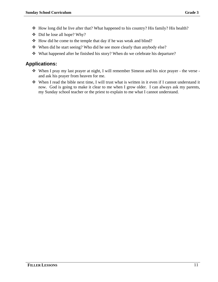- How long did he live after that? What happened to his country? His family? His health?
- $\triangleleft$  Did he lose all hope? Why?
- How did he come to the temple that day if he was weak and blind?
- When did he start seeing? Who did he see more clearly than anybody else?
- What happened after he finished his story? When do we celebrate his departure?

- When I pray my last prayer at night, I will remember Simeon and his nice prayer the verse and ask his prayer from heaven for me.
- When I read the bible next time, I will trust what is written in it even if I cannot understand it now. God is going to make it clear to me when I grow older. I can always ask my parents, my Sunday school teacher or the priest to explain to me what I cannot understand.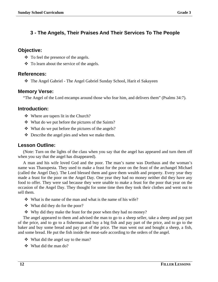# <span id="page-17-0"></span>**3 - The Angels, Their Praises And Their Services To The People**

#### **Objective:**

- $\bullet$  To feel the presence of the angels.
- $\triangleleft$  To learn about the service of the angels.

#### **References:**

The Angel Gabriel - The Angel Gabriel Sunday School, Harit el Sakayeen

#### **Memory Verse:**

"The Angel of the Lord encamps around those who fear him, and delivers them" (Psalms 34:7).

#### **Introduction:**

- $\div$  Where are tapers lit in the Church?
- What do we put before the pictures of the Saints?
- What do we put before the pictures of the angels?
- ❖ Describe the angel pies and when we make them.

### **Lesson Outline:**

(Note: Turn on the lights of the class when you say that the angel has appeared and turn them off when you say that the angel has disappeared).

A man and his wife loved God and the poor. The man's name was Dorthaus and the woman's name was Thaoupesta. They used to make a feast for the poor on the feast of the archangel Michael (called the Angel Day). The Lord blessed them and gave them wealth and property. Every year they made a feast for the poor on the Angel Day. One year they had no money neither did they have any food to offer. They were sad because they were unable to make a feast for the poor that year on the occasion of the Angel Day. They thought for some time then they took their clothes and went out to sell them.

- $\cdot \cdot$  What is the name of the man and what is the name of his wife?
- What did they do for the poor?
- Why did they make the feast for the poor when they had no money?

The angel appeared to them and advised the man to go to a sheep seller, take a sheep and pay part of the price, and to go to a fisherman and buy a big fish and pay part of the price, and to go to the baker and buy some bread and pay part of the price. The man went out and bought a sheep, a fish, and some bread. He put the fish inside the meat-safe according to the orders of the angel.

- $\triangleleft$  What did the angel say to the man?
- What did the man do?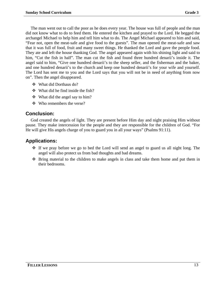The man went out to call the poor as he does every year. The house was full of people and the man did not know what to do to feed them. He entered the kitchen and prayed to the Lord. He begged the archangel Michael to help him and tell him what to do. The Angel Michael appeared to him and said, "Fear not, open the meat-safe and give food to the guests". The man opened the meat-safe and saw that it was full of food, fruit and many sweet things. He thanked the Lord and gave the people food. They ate and left the house thanking God. The angel appeared again with his shining light and said to him, "Cut the fish in half". The man cut the fish and found three hundred denarii's inside it. The angel said to him, "Give one hundred denarii's to the sheep seller, and the fisherman and the baker, and one hundred denarii's to the church and keep one hundred denarii's for your wife and yourself. The Lord has sent me to you and the Lord says that you will not be in need of anything from now on". Then the angel disappeared.

- What did Dorthaus do?
- What did he find inside the fish?
- What did the angel say to him?
- Who remembers the verse?

#### **Conclusion:**

God created the angels of light. They are present before Him day and night praising Him without pause. They make intercession for the people and they are responsible for the children of God. "For He will give His angels charge of you to guard you in all your ways" (Psalms 91:11).

- $\mathbf{\hat{P}}$  If we pray before we go to bed the Lord will send an angel to guard us all night long. The angel will also protect us from bad thoughts and bad dreams.
- Bring material to the children to make angels in class and take them home and put them in their bedrooms.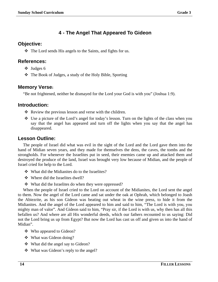# **4 - The Angel That Appeared To Gideon**

#### <span id="page-19-0"></span>**Objective:**

• The Lord sends His angels to the Saints, and fights for us.

#### **References:**

- Judges 6
- The Book of Judges, a study of the Holy Bible, Sporting

#### **Memory Verse:**

"Be not frightened, neither be dismayed for the Lord your God is with you" (Joshua 1:9).

#### **Introduction:**

- \* Review the previous lesson and verse with the children.
- Use a picture of the Lord's angel for today's lesson. Turn on the lights of the class when you say that the angel has appeared and turn off the lights when you say that the angel has disappeared.

# **Lesson Outline:**

The people of Israel did what was evil in the sight of the Lord and the Lord gave them into the hand of Midian seven years, and they made for themselves the dens, the caves, the tombs and the strongholds. For whenever the Israelites put in seed, their enemies came up and attacked them and destroyed the produce of the land, Israel was brought very low because of Midian, and the people of Israel cried for help to the Lord.

- What did the Midianites do to the Israelites?
- Where did the Israelites dwell?
- ❖ What did the Israelites do when they were oppressed?

When the people of Israel cried to the Lord on account of the Midianites, the Lord sent the angel to them. Now the angel of the Lord came and sat under the oak at Ophrah, which belonged to Joash the Abiezrite, as his son Gideon was beating out wheat in the wine press, to hide it from the Midianites. And the angel of the Lord appeared to him and said to him, "The Lord is with you, you mighty man of valor". And Gideon said to him, "Pray sir, if the Lord is with us, why then has all this befallen us? And where are all His wonderful deeds, which our fathers recounted to us saying: Did not the Lord bring us up from Egypt? But now the Lord has cast us off and given us into the hand of Midian".

- **❖** Who appeared to Gideon?
- What was Gideon doing?
- What did the angel say to Gideon?
- What was Gideon's reply to the angel?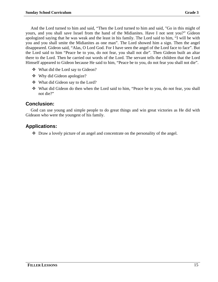And the Lord turned to him and said, "Then the Lord turned to him and said, "Go in this might of yours, and you shall save Israel from the hand of the Midianites. Have I not sent you?" Gideon apologized saying that he was weak and the least in his family. The Lord said to him, "I will be with you and you shall smite the Midianites as one man". The Lord showed him a sign. Then the angel disappeared. Gideon said, "Alas, O Lord God. For I have seen the angel of the Lord face to face". But the Lord said to him "Peace be to you, do not fear, you shall not die". Then Gideon built an altar there to the Lord. Then he carried out words of the Lord. The servant tells the children that the Lord Himself appeared to Gideon because He said to him, "Peace be to you, do not fear you shall not die".

- What did the Lord say to Gideon?
- Why did Gideon apologize?
- What did Gideon say to the Lord?
- What did Gideon do then when the Lord said to him, "Peace be to you, do not fear, you shall not die?"

#### **Conclusion:**

God can use young and simple people to do great things and win great victories as He did with Gideaon who were the youngest of his family.

### **Applications:**

 $\div$  Draw a lovely picture of an angel and concentrate on the personality of the angel.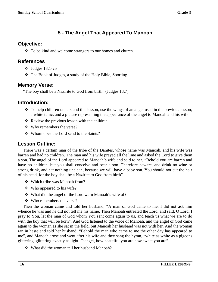# **5 - The Angel That Appeared To Manoah**

#### <span id="page-21-0"></span>**Objective:**

To be kind and welcome strangers to our homes and church.

### **References**

- $\div$  Judges 13:1-25
- The Book of Judges, a study of the Holy Bible, Sporting

# **Memory Verse:**

"The boy shall be a Nazirite to God from birth" (Judges 13:7).

### **Introduction:**

- $\bullet$  To help children understand this lesson, use the wings of an angel used in the previous lesson; a white tunic, and a picture representing the appearance of the angel to Manoah and his wife
- Review the previous lesson with the children.
- Who remembers the verse?
- Whom does the Lord send to the Saints?

# **Lesson Outline:**

There was a certain man of the tribe of the Danites, whose name was Manoah, and his wife was barren and had no children. The man and his wife prayed all the lime and asked the Lord to give them a son. The angel of the Lord appeared to Manoah's wife and said to her, "Behold you are barren and have no children, but you shall conceive and bear a son. Therefore beware, and drink no wine or strong drink, and eat nothing unclean, because we will have a baby son. You should not cut the hair of his head, for the boy shall be a Nazirite to God from birth".

- Which tribe was Manoah from?
- **❖** Who appeared to his wife?
- What did the angel of the Lord warn Manoah's wife of?
- Who remembers the verse?

Then the woman came and told her husband, "A man of God came to me. I did not ask him whence he was and he did not tell me his name. Then Manoah entreated the Lord, and said, O Lord, I pray to You, let the man of God whom You sent come again to us, and teach us what we are to do with the boy that will be born". And God listened to the voice of Manoah, and the angel of God came again to the woman as she sat in the field, but Manoah her husband was not with her. And the woman ran in haste and told her husband, "Behold the man who came to me the other day has appeared to me", and Manoah arose and went after his wife and they sang the hymn, "white as white as a pigeons glittering, glittering exactly as light. O angel, how beautiful you are how sweet you are".

What did the woman tell her husband Manoah?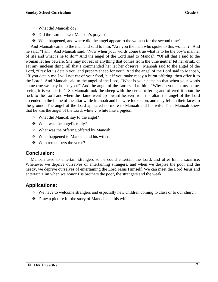- What did Manoah do?
- Did the Lord answer Manoah's prayer?
- What happened, and where did the angel appear to the woman for the second time?

And Manoah came to the man and said to him, "Are you the man who spoke to this woman?" And he said, "I am". And Manoah said, "Now when your words come true what is to be the boy's manner of life and what is he to do?" And the angel of the Lord said to Manoah, "Of all that I said to the woman let her beware. She may not eat of anything that comes from the vine neither let her drink, or eat any unclean thing, all that I commanded her let her observe". Manoah said to the angel of the Lord, "Pray let us detain you, and prepare sheep for you". And the angel of the Lord said to Manoah, "If you detain me I will not eat of your food, but if you make ready a burnt offering, then offer it to the Lord". And Manoah said to the angel of the Lord, "What is your name so that when your words come true we may honor you?" And the angel of the Lord said to him, "Why do you ask my name, seeing it is wonderful". So Manoah took the sheep with the cereal offering and offered it upon the rock to the Lord and when the flame went up toward heaven from the altar, the angel of the Lord ascended in the flame of the altar while Manoah and his wife looked on, and they fell on their faces to the ground. The angel of the Lord appeared no more to Manoah and his wife. Then Manoah knew that he was the angel of the Lord, white… white like a pigeon.

- What did Manoah say to the angel?
- What was the angel's reply?
- What was the offering offered by Manoah?
- What happened to Manoah and his wife?
- Who remembers the verse?

#### **Conclusion:**

Manoah used to entertain strangers so he could entertain the Lord, and offer him a sacrifice. Whenever we deprive ourselves of entertaining strangers, and when we despise the poor and the needy, we deprive ourselves of entertaining the Lord Jesus Himself. We can meet the Lord Jesus and entertain Him when we honor His brothers the poor, the strangers and the weak.

- $\bullet\bullet\text{ We have to welcome strangers and especially new children coming to class or to our church.}$
- Draw a picture for the story of Manoah and his wife.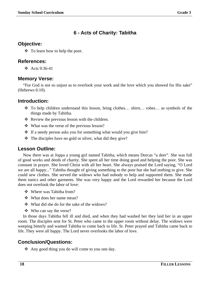# **6 - Acts of Charity: Tabitha**

#### <span id="page-23-0"></span>**Objective:**

❖ To learn how to help the poor.

#### **References:**

Acts 9:36-41

#### **Memory Verse:**

"For God is not so unjust as to overlook your work and the love which you showed for His sake" (Hebrews 6:10).

#### **Introduction:**

- $\hat{\cdot}$  To help children understand this lesson, bring clothes... shirts... robes... as symbols of the things made by Tabitha.
- $\triangle$  Review the previous lesson with the children.
- **❖** What was the verse of the previous lesson?
- $\cdot$  If a needy person asks you for something what would you give him?
- The disciples have no gold or silver, what did they give?

# **Lesson Outline:**

Now there was at Joppa a young girl named Tabitha, which means Dorcas "a deer". She was full of good works and deeds of charity. She spent all her time doing good and helping the poor. She was constant in prayer. She loved Christ with all her heart. She always praised the Lord saying, "O Lord we are all happy..." Tabitha thought of giving something to the poor but she had nothing to give. She could sew clothes. She served the widows who had nobody to help and supported them. She made them tunics and other garments. She was very happy and the Lord rewarded her because the Lord does not overlook the labor of love:

- Where was Tabitha from?
- What does her name mean?
- What did she do for the sake of the widows?
- Who can say the verse?

In those days Tabitha fell ill and died, and when they had washed her they laid her in an upper room. The disciples sent for St. Peter who came to the upper room without delay. The widows were weeping bitterly and wanted Tabitha to come back to life. St. Peter prayed and Tabitha came back to life. They were all happy. The Lord never overlooks the labor of love.

# **Conclusion/Questions:**

❖ Any good thing you do will come to you one day.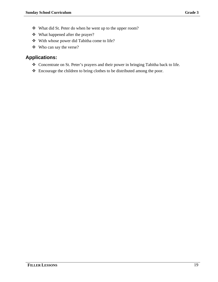- What did St. Peter do when he went up to the upper room?
- What happened after the prayer?
- With whose power did Tabitha come to life?
- Who can say the verse?

- Concentrate on St. Peter's prayers and their power in bringing Tabitha back to life.
- Encourage the children to bring clothes to be distributed among the poor.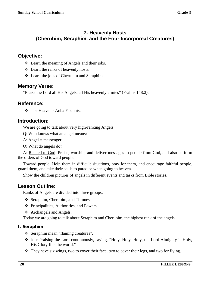### <span id="page-25-0"></span>**7- Heavenly Hosts (Cherubim, Seraphim, and the Four Incorporeal Creatures)**

#### **Objective:**

- Learn the meaning of Angels and their jobs.
- ❖ Learn the ranks of heavenly hosts.
- Learn the jobs of Cherubim and Seraphim.

#### **Memory Verse:**

"Praise the Lord all His Angels, all His heavenly armies" (Psalms 148:2).

#### **Reference:**

The Heaven - Anba Yoannis.

#### **Introduction:**

We are going to talk about very high-ranking Angels.

Q: Who knows what an angel means?

A: Angel  $=$  messenger

Q: What do angels do?

A: Related to God: Praise, worship, and deliver messages to people from God, and also perform the orders of God toward people.

Toward people: Help them in difficult situations, pray for them, and encourage faithful people, guard them, and take their souls to paradise when going to heaven.

Show the children pictures of angels in different events and tasks from Bible stories.

#### **Lesson Outline:**

Ranks of Angels are divided into three groups:

- ❖ Seraphim, Cherubim, and Thrones.
- ❖ Principalities, Authorities, and Powers.
- ❖ Archangels and Angels.

Today we are going to talk about Seraphim and Cherubim, the highest rank of the angels.

#### **I. Seraphim**

- ❖ Seraphim mean "flaming creatures".
- Job: Praising the Lord continuously, saying, "Holy, Holy, Holy, the Lord Almighty is Holy, His Glory fills the world."
- $\mathbf{\hat{P}}$  They have six wings, two to cover their face, two to cover their legs, and two for flying.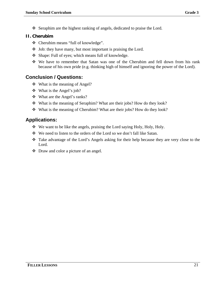Seraphim are the highest ranking of angels, dedicated to praise the Lord.

#### **II. Cherubim**

- Cherubim means "full of knowledge".
- Job: they have many, but most important is praising the Lord.
- Shape: Full of eyes; which means full of knowledge.
- We have to remember that Satan was one of the Cherubim and fell down from his rank because of his own pride (e.g. thinking high of himself and ignoring the power of the Lord).

#### **Conclusion / Questions:**

- What is the meaning of Angel?
- What is the Angel's job?
- What are the Angel's ranks?
- What is the meaning of Seraphim? What are their jobs? How do they look?
- What is the meaning of Cherubim? What are their jobs? How do they look?

- We want to be like the angels, praising the Lord saying Holy, Holy, Holy.
- We need to listen to the orders of the Lord so we don't fall like Satan.
- Take advantage of the Lord's Angels asking for their help because they are very close to the Lord.
- Draw and color a picture of an angel.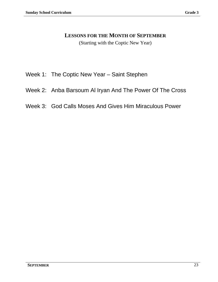### <span id="page-28-0"></span>**LESSONS FOR THE MONTH OF SEPTEMBER**

(Starting with the Coptic New Year)

- Week 1: The Coptic New Year Saint Stephen
- Week 2: Anba Barsoum Al Iryan And The Power Of The Cross
- Week 3: God Calls Moses And Gives Him Miraculous Power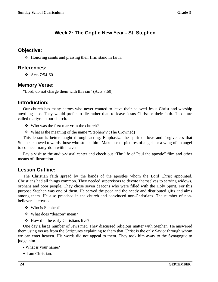#### **Week 2: The Coptic New Year - St. Stephen**

#### <span id="page-29-0"></span>**Objective:**

 $\triangleleft$  Honoring saints and praising their firm stand in faith.

#### **References:**

Acts 7:54-60

#### **Memory Verse:**

"Lord, do not charge them with this sin" (Acts 7:60).

#### **Introduction:**

Our church has many heroes who never wanted to leave their beloved Jesus Christ and worship anything else. They would prefer to die rather than to leave Jesus Christ or their faith. Those are called martyrs in our church.

- $\triangleleft$  Who was the first martyr in the church?
- What is the meaning of the name "Stephen"? (The Crowned)

This lesson is better taught through acting. Emphasize the spirit of love and forgiveness that Stephen showed towards those who stoned him. Make use of pictures of angels or a wing of an angel to connect martyrdom with heaven.

Pay a visit to the audio-visual center and check out "The life of Paul the apostle" film and other means of illustration.

#### **Lesson Outline:**

The Christian faith spread by the hands of the apostles whom the Lord Christ appointed. Christians had all things common. They needed supervisors to devote themselves to serving widows, orphans and poor people. They chose seven deacons who were filled with the Holy Spirit. For this purpose Stephen was one of them. He served the poor and the needy and distributed gifts and alms among them. He also preached in the church and convinced non-Christians. The number of nonbelievers increased.

- ❖ Who is Stephen?
- What does "deacon" mean?
- $\div$  How did the early Christians live?

One day a large number of Jews met. They discussed religious matter with Stephen. He answered them using verses from the Scriptures explaining to them that Christ is the only Savior through whom we can enter heaven. His words did not appeal to them. They took him away to the Synagogue to judge him.

- What is your name?

+ I am Christian.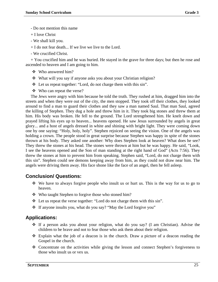- Do not mention this name
- $+$  I love Christ
- We shall kill you.
- $+$  I do not fear death... If we live we live to the Lord.
- We crucified Christ.

+ You crucified him and he was buried. He stayed in the grave for three days; but then he rose and ascended to heaven and I am going to him.

- Who answered him?
- What will you say if anyone asks you about your Christian religion?
- Let us repeat together: "Lord, do not charge them with this sin".
- Who can repeat the verse?

The Jews were angry with him because he told the truth. They rushed at him, dragged him into the streets and when they were out of the city, the men stopped. They took off their clothes, they looked around to find a man to guard their clothes and they saw a man named Saul. That man Saul, agreed the killing of Stephen. They dug a hole and threw him in it. They took big stones and threw them at him. His body was broken. He fell to the ground. The Lord strengthened him. He knelt down and prayed lifting his eyes up to heaven... heavens opened. He saw Jesus surrounded by angels in great glory... and a host of angels dressed in white and shining with bright light. They were coming down one by one saying: "Holy, holy, holy". Stephen rejoiced on seeing the vision. One of the angels was holding a crown. The people stood in great surprise because Stephen was happy in spite of the stones thrown at his body. They asked one another: Why does Stephen look at heaven? What does he see? They threw the stones at his head. The stones were thrown at him but he was happy. He said, "Look, I see the heavens opened and the Son of man standing at the right hand of God" (Acts 7:56). They threw the stones at him to prevent him from speaking. Stephen said, "Lord, do not charge them with this sin". Stephen could see demons keeping away from him, as they could not draw near him. The angels were driving them away. His face shone like the face of an angel, then he fell asleep.

#### **Conclusion/ Questions:**

- $\mathbf{\hat{P}}$  We have to always forgive people who insult us or hurt us. This is the way for us to go to heaven.
- Who taught Stephen to forgive those who stoned him?
- Let us repeat the verse together: "Lord do not charge them with this sin".
- \* If anyone insults you, what do you say? "May the Lord forgive you"

- $\hat{\cdot}$  If a person asks you about your religion, what do you say? (I am Christian). Advise the children to be brave and not to fear those who ask them about their religion.
- Explain what the job of a deacon is in the church. Draw a picture of a deacon reading the Gospel in the church.
- Concentrate on the activities while giving the lesson and connect Stephen's forgiveness to those who insult us or vex us.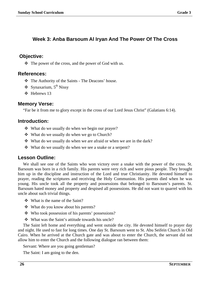### <span id="page-31-0"></span>**Week 3: Anba Barsoum Al Iryan And The Power Of The Cross**

#### **Objective:**

 $\triangleleft$  The power of the cross, and the power of God with us.

#### **References:**

- \* The Authority of the Saints The Deacons' house.
- $\div$  Synaxarium, 5<sup>th</sup> Nissy
- ❖ Hebrews 13

#### **Memory Verse:**

"Far be it from me to glory except in the cross of our Lord Jesus Christ" (Galatians 6:14).

#### **Introduction:**

- ❖ What do we usually do when we begin our prayer?
- ❖ What do we usually do when we go to Church?
- What do we usually do when we are afraid or when we are in the dark?
- What do we usually do when we see a snake or a serpent?

#### **Lesson Outline:**

We shall see one of the Saints who won victory over a snake with the power of the cross. St. Barsoum was born in a rich family. His parents were very rich and were pious people. They brought him up in the discipline and instruction of the Lord and true Christianity. He devoted himself to prayer, reading the scriptures and receiving the Holy Communion. His parents died when he was young. His uncle took all the property and possessions that belonged to Barsoum's parents. St. Barsoum hated money and property and despised all possessions. He did not want to quarrel with his uncle about such trivial things.

- What is the name of the Saint?
- ❖ What do you know about his parents?
- Who took possession of his parents' possessions?
- What was the Saint's attitude towards his uncle?

The Saint left home and everything and went outside the city. He devoted himself to prayer day and night. He used to fast for long times. One day St. Barsoum went to St. Abu Seifein Church in Old Cairo. When he arrived at the Church gate and was about to enter the Church, the servant did not allow him to enter the Church and the following dialogue ran between them:

Servant: Where are you going gentleman?

The Saint: I am going to the den.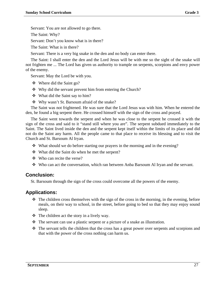Servant: You are not allowed to go there.

The Saint: Why?

Servant: Don't you know what is in there?

The Saint: What is in there?

Servant: There is a very big snake in the den and no body can enter there.

The Saint: I shall enter the den and the Lord Jesus will be with me so the sight of the snake will not frighten me ... The Lord has given us authority to trample on serpents, scorpions and envy power of the enemy.

Servant: May the Lord be with you.

- Where did the Saint go?
- Why did the servant prevent him from entering the Church?
- What did the Saint say to him?
- Why wasn't St. Barsoum afraid of the snake?

The Saint was not frightened. He was sure that the Lord Jesus was with him. When he entered the den, he found a big serpent there. He crossed himself with the sign of the cross and prayed.

The Saint went towards the serpent and when he was close to the serpent he crossed it with the sign of the cross and said to it "stand still where you are". The serpent subdued immediately to the Saint. The Saint lived inside the den and the serpent kept itself within the limits of its place and did not do the Saint any harm. All the people came to that place to receive its blessing and to visit the Church and St. Barsoum Al Iryan.

- $\cdot$  What should we do before starting our prayers in the morning and in the evening?
- What did the Saint do when he met the serpent?
- Who can recite the verse?
- Who can act the conversation, which ran between Anba Barsoum Al Iryan and the servant.

#### **Conclusion:**

St. Barsoum through the sign of the cross could overcome all the powers of the enemy.

- $\triangle$  The children cross themselves with the sign of the cross in the morning, in the evening, before meals, on their way to school, in the street, before going to bed so that they may enjoy sound sleep.
- $\triangleleft$  The children act the story in a lively way.
- The servant can use a plastic serpent or a picture of a snake as illustration.
- $\hat{\mathbf{v}}$  The servant tells the children that the cross has a great power over serpents and scorpions and that with the power of the cross nothing can harm us.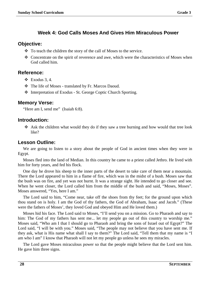#### **Week 4: God Calls Moses And Gives Him Miraculous Power**

#### <span id="page-33-0"></span>**Objective:**

- \* To teach the children the story of the call of Moses to the service.
- $\div$  Concentrate on the spirit of reverence and awe, which were the characteristics of Moses when God called him.

#### **Reference:**

- $\div$  Exodus 3, 4.
- The life of Moses translated by Fr. Marcos Daoud.
- ◆ Interpretation of Exodus St. George Coptic Church Sporting.

#### **Memory Verse:**

"Here am I, send me" (Isaiah 6:8).

#### **Introduction:**

 Ask the children what would they do if they saw a tree burning and how would that tree look like?

#### **Lesson Outline:**

We are going to listen to a story about the people of God in ancient times when they were in Egypt.

Moses fled into the land of Median. In this country he came to a priest called Jethro. He lived with him for forty years, and fed his flock.

One day he drove his sheep to the inner parts of the desert to take care of them near a mountain. There the Lord appeared to him in a flame of fire, which was in the midst of a bush. Moses saw that the bush was on fire, and yet was not burnt. It was a strange sight. He intended to go closer and see. When he went closer, the Lord called him from the middle of the bush and said, "Moses, Moses". Moses answered, "Yes, here I am."

The Lord said to him, "Come near, take off the shoes from thy feet; for the ground upon which thou stand on is holy. I am the God of thy fathers, the God of Abraham, Isaac and Jacob." (These were the fathers of Moses', they loved God and obeyed Him and He loved them.)

Moses hid his face. The Lord said to Moses, "I'll send you on a mission. Go to Pharaoh and say to him: The God of my fathers has sent me... let my people go out of this country to worship me." Moses said, "Who am I that I should go to Pharaoh and bring the sons of Israel out of Egypt?" The Lord said, "I will be with you." Moses said, "The people may not believe that you have sent me. If they ask, what is His name what shall I say to them?" The Lord said, "Tell them that my name is "I am who I am" I know that Pharaoh will not let my people go unless he sees my miracles.

The Lord gave Moses miraculous power so that the people might believe that the Lord sent him. He gave him three signs.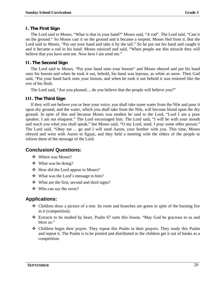#### **I. The First Sign**

The Lord said to Moses, "What is that in your hand?" Moses said, "A rod". The Lord said, "Cast it on the ground." So Moses cast it on the ground and it became a serpent. Moses fled from it. But the Lord said to Moses, "Put out your hand and take it by the tail." So he put out his hand and caught it and it became a rod in his hand. Moses rejoiced and said, "When people see this miracle they will believe that you have sent me. Now here I am send me."

#### **II. The Second Sign**

The Lord said to Moses, "Put your hand onto your bosom" and Moses obeyed and put his hand onto his bosom and when he took it out, behold, his hand was leprous, as white as snow. Then God said, "Put your hand back onto your bosom, and when he took it out behold it was restored like the rest of his flesh.

The Lord said, "Are you pleased.... do you believe that the people will believe you?"

#### **III. The Third Sign**

If they will not believe you or hear your voice, you shall take some water from the Nile and pour it upon dry ground, and the water, which you shall take from the Nile, will become blood upon the dry ground. In spite of this and because Moses was modest he said to the Lord, "Lord I am a poor speaker. I am not eloquent." The Lord encouraged him. The Lord said, "I will be with your mouth and teach you what you shall speak," but Moses said, "O my Lord, send, I pray some other person." The Lord said, "Obey me ... go and I will send Aaron, your brother with you. This time, Moses obeyed and went with Aaron to Egypt, and they held a meeting with the elders of the people to inform them of the message of the Lord.

#### **Conclusion/ Questions:**

- ❖ Where was Moses?
- What was he doing?
- ❖ How did the Lord appear to Moses?
- What was the Lord's message to him?
- What are the first, second and third signs?
- ❖ Who can say the verse?

- $\div$  Children draw a picture of a tree. Its roots and branches are green in spite of the burning fire in it (competition).
- Extracts to be studied by heart, Psalm 67 suits this lesson. "May God be gracious to us and bless us."
- Children begin their prayer. They repeat this Psalm in their prayers. They study this Psalm and repeat it. The Psalm is to be printed and distributed or the children get it out of books as a competition.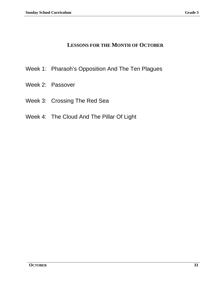# **LESSONS FOR THE MONTH OF OCTOBER**

- Week 1: Pharaoh's Opposition And The Ten Plagues
- Week 2: Passover
- Week 3: Crossing The Red Sea
- Week 4: The Cloud And The Pillar Of Light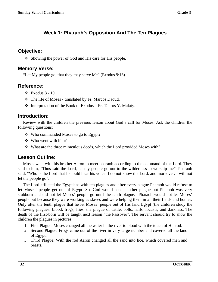# **Week 1: Pharaoh's Opposition And The Ten Plagues**

### **Objective:**

• Showing the power of God and His care for His people.

#### **Memory Verse:**

"Let My people go, that they may serve Me" (Exodus 9:13).

### **Reference:**

- $\div$  Exodus 8 10.
- The life of Moses translated by Fr. Marcos Daoud.
- $\triangleleft$  Interpretation of the Book of Exodus Fr. Tadros Y. Malaty.

### **Introduction:**

Review with the children the previous lesson about God's call for Moses. Ask the children the following questions:

- Who commanded Moses to go to Egypt?
- Who went with him?
- $\div$  What are the three miraculous deeds, which the Lord provided Moses with?

### **Lesson Outline:**

Moses went with his brother Aaron to meet pharaoh according to the command of the Lord. They said to him, "Thus said the Lord, let my people go out to the wilderness to worship me". Pharaoh said, "Who is the Lord that I should hear his voice. I do not know the Lord, and moreover, I will not let the people go".

The Lord afflicted the Egyptians with ten plagues and after every plague Pharaoh would refuse to let Moses' people get out of Egypt. So, God would send another plague but Pharaoh was very stubborn and did not let Moses' people go until the tenth plague. Pharaoh would not let Moses' people out because they were working as slaves and were helping them in all their fields and homes. Only after the tenth plague that he let Moses' people out of His land Egypt (the children study the following plagues: blood, frogs, flies, the plague of cattle, bolls, hails, locusts, and darkness. The death of the first-born will be taught next lesson "the Passover". The servant should try to show the children the plagues in pictures:

- 1. First Plague: Moses changed all the water in the river to blood with the touch of His rod.
- 2. Second Plague: Frogs came out of the river in very large number and covered all the land of Egypt.
- 3. Third Plague: With the rod Aaron changed all the sand into lice, which covered men and beasts.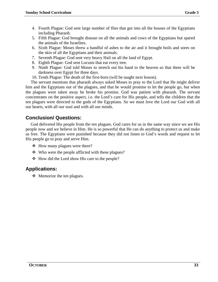- 4. Fourth Plague: God sent large number of flies that got into all the houses of the Egyptians including Pharaoh.
- 5. Fifth Plague: God brought disease on all the animals and cows of the Egyptians but spared the animals of the Israelites.
- 6. Sixth Plague: Moses threw a handful of ashes to the air and it brought boils and sores on the skin of all the Egyptians and their animals.
- 7. Seventh Plague: God sent very heavy Hail on all the land of Egypt.
- 8. Eighth Plague: God sent Locusts that eat every tree.
- 9. Ninth Plague: God told Moses to stretch out his hand to the heaven so that there will be darkness over Egypt for three days.
- 10. Tenth Plague: The death of the first-born (will be taught next lesson).

The servant mentions that pharaoh always asked Moses to pray to the Lord that He might deliver him and the Egyptians out of the plagues, and that he would promise to let the people go, but when the plagues were taken away he broke his promise. God was patient with pharaoh. The servant concentrates on the positive aspect, i.e. the Lord's care for His people, and tells the children that the ten plagues were directed to the gods of the Egyptians. So we must love the Lord our God with all our hearts, with all our soul and with all our minds.

### **Conclusion/ Questions:**

God delivered His people from the ten plagues. God cares for us in the same way since we are His people now and we believe in Him. He is so powerful that He can do anything to protect us and make us free. The Egyptians were punished because they did not listen to God's words and request to let His people go to pray and serve Him.

- $\triangleleft$  How many plagues were there?
- Who were the people afflicted with these plagues?
- $\triangleleft$  How did the Lord show His care to the people?

## **Applications:**

 $\triangleleft$  Memorize the ten plagues.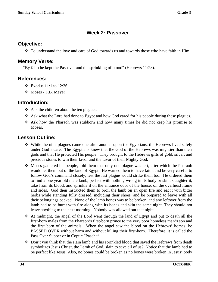## **Week 2: Passover**

#### **Objective:**

\* To understand the love and care of God towards us and towards those who have faith in Him.

## **Memory Verse:**

"By faith he kept the Passover and the sprinkling of blood" (Hebrews 11:28).

## **References:**

- $\div$  Exodus 11:1 to 12:36
- Moses F.B. Meyer

## **Introduction:**

- $\triangleleft$  Ask the children about the ten plagues.
- Ask what the Lord had done to Egypt and how God cared for his people during these plagues.
- Ask how the Pharaoh was stubborn and how many times he did not keep his promise to Moses.

# **Lesson Outline:**

- While the nine plagues came one after another upon the Egyptians, the Hebrews lived safely under God's care. The Egyptians knew that the God of the Hebrews was mightier than their gods and that He protected His people. They brought to the Hebrews gifts of gold, silver, and precious stones to win their favor and the favor of their Mighty God.
- Moses gathered his people, told them that only one plague was left, after which the Pharaoh would let them out of the land of Egypt. He warned them to have faith, and be very careful to follow God's command closely, lest the last plague would strike them too. He ordered them to find a one year old male lamb, perfect with nothing wrong in its body or skin, slaughter it, take from its blood, and sprinkle it on the entrance door of the house, on the overhead frame and sides. God then instructed them to broil the lamb on an open fire and eat it with bitter herbs while standing fully dressed, including their shoes, and be prepared to leave with all their belongings packed. None of the lamb bones was to be broken, and any leftover from the lamb had to be burnt with fire along with its bones and skin the same night. They should not leave anything to the next morning. Nobody was allowed out that night.
- At midnight, the angel of the Lord went through the land of Egypt and put to death all the first-born males from the Pharaoh's first-born prince to the very poor homeless man's son and the first born of the animals. When the angel saw the blood on the Hebrews' homes, he PASSED OVER without harm and without killing their first-born. Therefore, it is called the Pass Over Supper or in Coptic "Pascha".
- Don't you think that the slain lamb and his sprinkled blood that saved the Hebrews from death symbolizes Jesus Christ, the Lamb of God, slain to save all of us? Notice that the lamb had to be perfect like Jesus. Also, no bones could be broken as no bones were broken in Jesus' body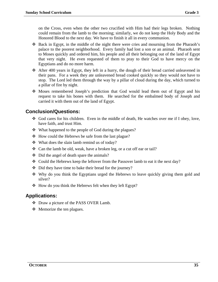on the Cross, even when the other two crucified with Him had their legs broken. Nothing could remain from the lamb to the morning; similarly, we do not keep the Holy Body and the Honored Blood to the next day. We have to finish it all in every communion.

- $\div$  Back in Egypt, in the middle of the night there were cries and mourning from the Pharaoh's palace to the poorest neighborhood. Every family had lost a son or an animal. Pharaoh sent to Moses quickly and ordered him, his people and all their belonging out of the land of Egypt that very night. He even requested of them to pray to their God to have mercy on the Egyptians and do no more harm.
- After 400 years in Egypt, they left in a hurry, the dough of their bread carried unleavened in their pans. For a week they ate unleavened bread cooked quickly so they would not have to stop. The Lord led them through the way by a pillar of cloud during the day, which turned to a pillar of fire by night.
- Moses remembered Joseph's prediction that God would lead them out of Egypt and his request to take his bones with them. He searched for the embalmed body of Joseph and carried it with them out of the land of Egypt.

## **Conclusion/Questions:**

- God cares for his children. Even in the middle of death, He watches over me if I obey, love, have faith, and trust Him.
- What happened to the people of God during the plagues?
- How could the Hebrews be safe from the last plague?
- What does the slain lamb remind us of today?
- Can the lamb be old, weak, have a broken leg, or a cut off ear or tail?
- Did the angel of death spare the animals?
- $\triangleleft$  Could the Hebrews keep the leftover from the Passover lamb to eat it the next day?
- $\triangleleft$  Did they have time to bake their bread for the journey?
- Why do you think the Egyptians urged the Hebrews to leave quickly giving them gold and silver?
- $\triangleleft$  How do you think the Hebrews felt when they left Egypt?

- Draw a picture of the PASS OVER Lamb.
- Memorize the ten plagues.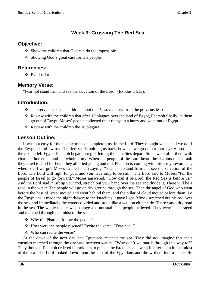# **Week 3: Crossing The Red Sea**

#### **Objective:**

- $\bullet$  Show the children that God can do the impossible.
- ❖ Showing God's great care for His people.

### **References:**

Exodus 14.

### **Memory Verse:**

"Fear not stand firm and see the salvation of the Lord" (Exodus 14:13).

### **Introduction:**

- The servant asks the children about the Passover story from the previous lesson.
- Review with the children that after 10 plagues over the land of Egypt, Pharaoh finally let them go out of Egypt. Moses' people collected their things in a hurry and went out of Egypt.
- $\triangleleft$  Review with the children the 10 plagues.

## **Lesson Outline:**

It was not easy for the people to have complete trust in the Lord. They thought what shall we do if the Egyptians follow us? The Red Sea is holding us back, how can we go on our journey? As soon as the people left Egypt, Pharaoh began to regret letting the Israelites depart. So he went after them with chariots, horsemen and his whole army. When the people of the Lord heard the chariots of Pharaoh they cried to God for help, they all cried young and old, Pharaoh is coming with his army towards us, where shall we go? Moses calmed them saying: "Fear not. Stand firm and see the salvation of the Lord. The Lord will fight for you, and you have only to be still." The Lord said to Moses, "tell the people of Israel to go forward." Moses answered, "How can it be Lord, the Red Sea is before us." And the Lord said, "Lift up your rod, stretch out your hand over the sea and divide it. There will be a road in the water. The people will go on dry ground through the sea. Then the angel of God who went before the host of Israel moved and went behind them, and the pillar of cloud moved before them. To the Egyptians it made the night darker; to the Israelites it gave light. Moses stretched out his rod over the sea, and immediately the waters divided and stood like a wall on either side. There was a dry road in the sea. The whole matter was strange and unusual. The people believed. They were encouraged and marched through the midst of the sea.

- ❖ Why did Pharaoh follow the people?
- \* How were the people rescued? Recite the verse: "Fear not..."
- Who can recite the verse?

At the dawn of the next day, the Egyptians reached the sea. They did not imagine that their enemies marched through the dry land between waters. "Why don't we march through this way to?" They thought. Pharaoh ordered his soldiers to pursue the Israelites and went in after them in the midst of the sea. The Lord looked down upon the host of the Egyptians and threw them into a panic. He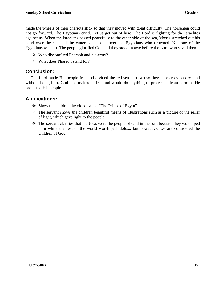made the wheels of their chariots stick so that they moved with great difficulty. The horsemen could not go forward. The Egyptians cried. Let us get out of here. The Lord is fighting for the Israelites against us. When the Israelites passed peacefully to the other side of the sea, Moses stretched out his hand over the sea and the water came back over the Egyptians who drowned. Not one of the Egyptians was left. The people glorified God and they stood in awe before the Lord who saved them.

- Who discomfited Pharaoh and his army?
- What does Pharaoh stand for?

#### **Conclusion:**

The Lord made His people free and divided the red sea into two so they may cross on dry land without being hurt. God also makes us free and would do anything to protect us from harm as He protected His people.

- Show the children the video called "The Prince of Egypt".
- $\hat{\cdot}$  The servant shows the children beautiful means of illustrations such as a picture of the pillar of light, which gave light to the people.
- $\hat{\mathbf{v}}$  The servant clarifies that the Jews were the people of God in the past because they worshiped Him while the rest of the world worshiped idols.... but nowadays, we are considered the children of God.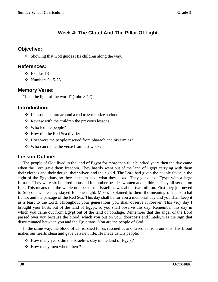# **Week 4: The Cloud And The Pillar Of Light**

### **Objective:**

• Showing that God guides His children along the way.

## **References:**

- Exodus 13
- $\div$  Numbers 9:15-23

## **Memory Verse:**

"I am the light of the world" (John 8:12).

## **Introduction:**

- Use some cotton around a rod to symbolize a cloud.
- Review with the children the previous lessons:
- Who led the people?
- How did the Red Sea divide?
- $\triangleleft$  How were the people rescued from pharaoh and his armies?
- Who can recite the verse from last week?

# **Lesson Outline:**

The people of God lived in the land of Egypt for more than four hundred years then the day came when the Lord gave them freedom. They hastily went out of the land of Egypt carrying with them their clothes and their dough, their silver, and their gold. The Lord had given the people favor in the sight of the Egyptians, so they let them have what they asked. They got out of Egypt with a large fortune. They were six hundred thousand in number besides women and children. They all set out on foot. This means that the whole number of the Israelites was about two million. First they journeyed to Succoth where they stayed for one night. Moses explained to them the meaning of the Paschal Lamb, and the passage of the Red Sea. This day shall be for you a memorial day and you shall keep it as a feast to the Lord. Throughout your generations you shall observe it forever. This very day I brought your hosts out of the land of Egypt, so you shall observe this day. Remember this day in which you came out from Egypt out of the land of bondage. Remember that the angel of the Lord passed over you because the blood, which you put on your doorposts and lintels, was the sign that discriminated between you and the Egyptians. You are the people of God.

In the same way, the blood of Christ shed for us rescued us and saved us from our sins. His Blood makes our hearts clean and gave us a new life. He made us His people.

- $\triangleleft$  How many years did the Israelites stay in the land of Egypt?
- How many men where there?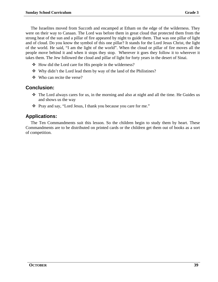The Israelites moved from Succoth and encamped at Etham on the edge of the wilderness. They were on their way to Canaan. The Lord was before them in great cloud that protected them from the strong heat of the sun and a pillar of fire appeared by night to guide them. That was one pillar of light and of cloud. Do you know the symbol of this one pillar? It stands for the Lord Jesus Christ, the light of the world. He said, "I am the light of the world". When the cloud or pillar of fire moves all the people move behind it and when it stops they stop. Wherever it goes they follow it to wherever it takes them. The Jew followed the cloud and pillar of light for forty years in the desert of Sinai.

- How did the Lord care for His people in the wilderness?
- Why didn't the Lord lead them by way of the land of the Philistines?
- Who can recite the verse?

#### **Conclusion:**

- $\hat{\cdot}$  The Lord always cares for us, in the morning and also at night and all the time. He Guides us and shows us the way
- \* Pray and say, "Lord Jesus, I thank you because you care for me."

### **Applications:**

The Ten Commandments suit this lesson. So the children begin to study them by heart. These Commandments are to be distributed on printed cards or the children get them out of books as a sort of competition.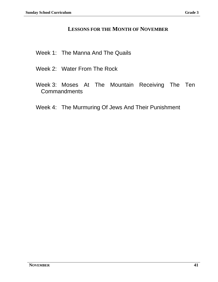## **LESSONS FOR THE MONTH OF NOVEMBER**

- Week 1: The Manna And The Quails
- Week 2: Water From The Rock
- Week 3: Moses At The Mountain Receiving The Ten **Commandments**
- Week 4: The Murmuring Of Jews And Their Punishment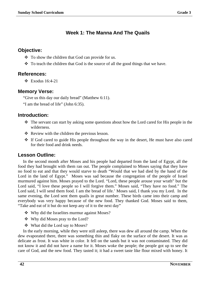# **Week 1: The Manna And The Quails**

## **Objective:**

- $\bullet$  To show the children that God can provide for us.
- $\div$  To teach the children that God is the source of all the good things that we have.

# **References:**

 $\div$  Exodus 16:4-21

## **Memory Verse:**

"Give us this day our daily bread" (Matthew 6:11).

"I am the bread of life" (John 6:35).

## **Introduction:**

- $\mathbf{\hat{P}}$  The servant can start by asking some questions about how the Lord cared for His people in the wilderness.
- $\triangle$  Review with the children the previous lesson.
- $\div$  If God cared to guide His people throughout the way in the desert, He must have also cared for their food and drink needs.

## **Lesson Outline:**

In the second month after Moses and his people had departed from the land of Egypt, all the food they had brought with them ran out. The people complained to Moses saying that they have no food to eat and that they would starve to death "Would that we had died by the hand of the Lord in the land of Egypt." Moses was sad because the congregation of the people of Israel murmured against him. Moses prayed to the Lord. "Lord, these people arouse your wrath" but the Lord said, "I love these people so I will forgive them." Moses said, "They have no food." The Lord said, I will send them food. I am the bread of life.' Moses said, I thank you my Lord. In the same evening, the Lord sent them quails in great number. These birds came into their camp and everybody was very happy because of the new food. They thanked God. Moses said to them, "Take and eat of it but do not keep any of it to the next day"

- **❖** Why did the Israelites murmur against Moses?
- Why did Moses pray to the Lord?
- What did the Lord say to Moses?

In the early morning, while they were still asleep, there was dew all around the camp. When the dew evaporated there, there was something thin and flaky on the surface of the desert. It was as delicate as frost. It was white in color. It fell on the sands but it was not contaminated. They did not know it and did not have a name for it. Moses woke the people; the people got up to see the care of God, and the new food. They tasted it; it had a sweet taste like flour mixed with honey. It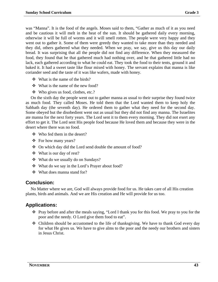was "Manna". It is the food of the angels. Moses said to them, "Gather as much of it as you need and be cautious it will melt in the heat of the sun. It should be gathered daily every morning, otherwise it will be full of worms and it will smell rotten. The people were very happy and they went out to gather it. Some of them were greedy they wanted to take more than they needed and they did, others gathered what they needed. When we pray, we say, give us this day our daily bread. It was surprising that all the people did not find any difference. When they measured the food, they found that he that gathered much had nothing over, and he that gathered little had no lack, each gathered according to what he could eat. They took the food to their tents, ground it and baked it. It had a sweet taste like flour mixed with honey. The servant explains that manna is like coriander seed and the taste of it was like wafers, made with honey.

- What is the name of the birds?
- ❖ What is the name of the new food?
- Who gives us food, clothes, etc.?

On the sixth day the people went out to gather manna as usual to their surprise they found twice as much food. They called Moses. He told them that the Lord wanted them to keep holy the Sabbath day (the seventh day). He ordered them to gather what they need for the second day. Some obeyed but the disobedient went out as usual but they did not find any manna. The Israelites ate manna for the next forty years. The Lord sent it to them every morning. They did not exert any effort to get it. The Lord sent His people food because He loved them and because they were in the desert where there was no food.

- Who fed them in the desert?
- For how many years?
- On which day did the Lord send double the amount of food?
- What is our day of rest?
- What do we usually do on Sundays?
- What do we say in the Lord's Prayer about food?
- What does manna stand for?

#### **Conclusion:**

No Matter where we are, God will always provide food for us. He takes care of all His creation plants, birds and animals. And we are His creation and He will provide for us too.

- \* Pray before and after the meals saying, "Lord I thank you for this food. We pray to you for the poor and the needy. O Lord give them food to eat".
- Children should be accustomed to the life of thanksgiving. We have to thank God every day for what He gives us. We have to give alms to the poor and the needy our brothers and sisters in Jesus Christ.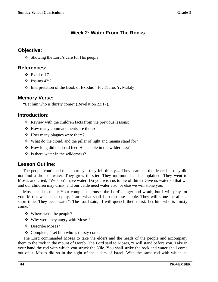## **Week 2: Water From The Rocks**

## **Objective:**

❖ Showing the Lord's care for His people.

## **References:**

- Exodus 17
- $\div$  Psalms 42:2
- $\triangleleft$  Interpretation of the Book of Exodus Fr. Tadros Y. Malaty

### **Memory Verse:**

"Let him who is thirsty come" (Revelation 22:17).

## **Introduction:**

- Review with the children facts from the previous lessons:
- $\triangleleft$  How many commandments are there?
- $\triangleleft$  How many plagues were there?
- What do the cloud, and the pillar of light and manna stand for?
- $\triangleleft$  How long did the Lord feed His people in the wilderness?
- $\div$  Is there water in the wilderness?

# **Lesson Outline:**

The people continued their journey... they felt thirsty.... They searched the desert but they did not find a drop of water. They grew thirstier. They murmured and complained. They went to Moses and cried, "We don't have water. Do you wish us to die of thirst? Give us water so that we and our children may drink, and our cattle need water also, or else we will stone you.

Moses said to them: Your complaint arouses the Lord's anger and wrath, but I will pray for you. Moses went out to pray, "Lord what shall I do to these people. They will stone me after a short time. They need water". The Lord said, "I will quench their thirst. Let him who is thirsty come."

- ❖ Where were the people?
- ❖ Why were they angry with Moses?
- Describe Moses?
- ❖ Complete, "Let him who is thirsty come..."

The Lord commanded Moses to take the elders and the heads of the people and accompany them to the rock in the mount of Horeb. The Lord said to Moses, "I will stand before you. Take in your hand the rod with which you struck the Nile. You shall strike the rock and water shall come out of it. Moses did so in the sight of the elders of Israel. With the same rod with which he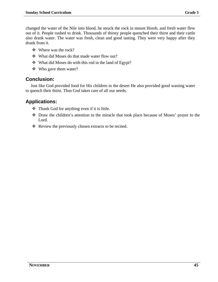changed the water of the Nile into blood, he struck the rock in mount Horeb, and fresh water flew out of it. People rushed to drink. Thousands of thirsty people quenched their thirst and their cattle also drank water. The water was fresh, clean and good tasting. They were very happy after they drank from it.

- $\mathbf{\hat{\cdot}}$  Where was the rock?
- What did Moses do that made water flow out?
- What did Moses do with this rod in the land of Egypt?
- Who gave them water?

### **Conclusion:**

Just like God provided food for His children in the desert He also provided good wasting water to quench their thirst. Thus God takes care of all our needs.

- $\triangleleft$  Thank God for anything even if it is little.
- Draw the children's attention to the miracle that took place because of Moses' prayer to the Lord.
- $\triangle$  Review the previously chosen extracts to be recited.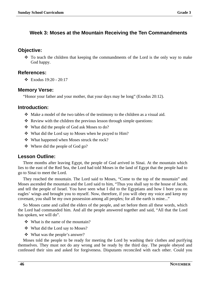## **Week 3: Moses at the Mountain Receiving the Ten Commandments**

## **Objective:**

 $\div$  To teach the children that keeping the commandments of the Lord is the only way to make God happy.

## **References:**

Exodus 19:20 - 20:17

### **Memory Verse:**

"Honor your father and your mother, that your days may be long" (Exodus 20:12).

### **Introduction:**

- $\triangleleft$  Make a model of the two tables of the testimony to the children as a visual aid.
- \* Review with the children the previous lesson through simple questions:
- What did the people of God ask Moses to do?
- What did the Lord say to Moses when he prayed to Him?
- ❖ What happened when Moses struck the rock?
- $\triangleleft$  Where did the people of God go?

### **Lesson Outline:**

Three months after leaving Egypt, the people of God arrived in Sinai. At the mountain which lies to the east of the Red Sea, the Lord had told Moses in the land of Egypt that the people had to go to Sinai to meet the Lord.

They reached the mountain. The Lord said to Moses, "Come to the top of the mountain" and Moses ascended the mountain and the Lord said to him, "Thus you shall say to the house of Jacob, and tell the people of Israel. You have seen what I did to the Egyptians and how I bore you on eagles' wings and brought you to myself. Now, therefore, if you will obey my voice and keep my covenant, you shall be my own possession among all peoples; for all the earth is mine..."

So Moses came and called the elders of the people, and set before them all these words, which the Lord had commanded him. And all the people answered together and said, "All that the Lord has spoken, we will do".

- $\div$  What is the name of the mountain?
- What did the Lord say to Moses?
- What was the people's answer?

Moses told the people to be ready for meeting the Lord by washing their clothes and purifying themselves. They must not do any wrong and be ready by the third day. The people obeyed and confessed their sins and asked for forgiveness. Disputants reconciled with each other. Could you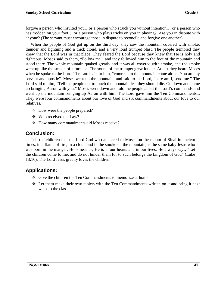forgive a person who insulted you…or a person who struck you without intention… or a person who has trodden on your foot... or a person who plays tricks on you in playing?. Are you in dispute with anyone? (The servant must encourage those in dispute to reconcile and forgive one another).

When the people of God got up on the third day, they saw the mountain covered with smoke, thunder and lightning and a thick cloud, and a very loud trumpet blast. The people trembled they knew that the Lord was in that place. They feared the Lord because they knew that He is holy and righteous. Moses said to them, "Follow me", and they followed him to the foot of the mountain and stood there. The whole mountain quaked greatly and it was all covered with smoke, and the smoke went up like the smoke of a furnace. The sound of the trumpet grew louder. At last they heard Moses when he spoke to the Lord. The Lord said to him, "come up to the mountain come alone. You are my servant and apostle". Moses went up the mountain, and said to the Lord, "here am I, send me." The Lord said to him, "Tell the people not to touch the mountain lest they should die. Go down and come up bringing Aaron with you." Moses went down and told the people about the Lord's commands and went up the mountain bringing up Aaron with him. The Lord gave him the Ten Commandments... They were four commandments about our love of God and six commandments about our love to our relatives.

- ❖ How were the people prepared?
- Who received the Law?
- ❖ How many commandments did Moses receive?

#### **Conclusion:**

Tell the children that the Lord God who appeared to Moses on the mount of Sinai in ancient times, in a flame of fire, in a cloud and in the smoke on the mountain, is the same baby Jesus who was born in the manger. He is near us, He is in our hearts and in our lives, He always says, "Let the children come to me, and do not hinder them for to such belongs the kingdom of God" (Luke 18:16). The Lord Jesus greatly loves the children.

- Give the children the Ten Commandments to memorize at home.
- Let them make their own tablets with the Ten Commandments written on it and bring it next week to the class.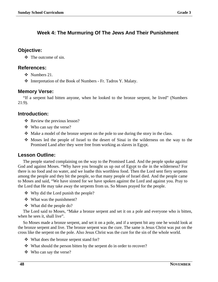## **Week 4: The Murmuring Of The Jews And Their Punishment**

#### **Objective:**

 $\div$  The outcome of sin.

#### **References:**

- Numbers 21.
- Interpretation of the Book of Numbers Fr. Tadros Y. Malaty.

### **Memory Verse:**

"If a serpent had bitten anyone, when he looked to the bronze serpent, he lived" (Numbers 21:9).

#### **Introduction:**

- ❖ Review the previous lesson?
- ❖ Who can say the verse?
- $\triangle$  Make a model of the bronze serpent on the pole to use during the story in the class.
- Moses led the people of Israel to the desert of Sinai in the wilderness on the way to the Promised Land after they were free from working as slaves in Egypt.

### **Lesson Outline:**

The people started complaining on the way to the Promised Land. And the people spoke against God and against Moses. "Why have you brought us up out of Egypt to die in the wilderness? For there is no food and no water, and we loathe this worthless food. Then the Lord sent fiery serpents among the people and they bit the people, so that many people of Israel died. And the people came to Moses and said, "We have sinned for we have spoken against the Lord and against you. Pray to the Lord that He may take away the serpents from us. So Moses prayed for the people.

- $\bullet\bullet\text{ Why did the Lord punish the people?}$
- $\div$  What was the punishment?
- What did the people do?

The Lord said to Moses, "Make a bronze serpent and set it on a pole and everyone who is bitten, when he sees it, shall live".

So Moses made a bronze serpent, and set it on a pole, and if a serpent bit any one he would look at the bronze serpent and live. The bronze serpent was the cure. The same is Jesus Christ was put on the cross like the serpent on the pole. Also Jesus Christ was the cure for the sin of the whole world.

- What does the bronze serpent stand for?
- What should the person bitten by the serpent do in order to recover?
- Who can say the verse?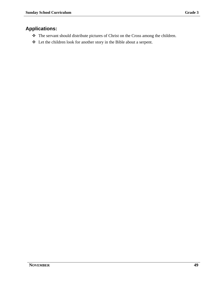- The servant should distribute pictures of Christ on the Cross among the children.
- Let the children look for another story in the Bible about a serpent.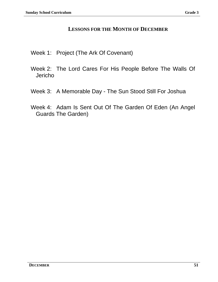## **LESSONS FOR THE MONTH OF DECEMBER**

Week 1: Project (The Ark Of Covenant)

- Week 2: The Lord Cares For His People Before The Walls Of **Jericho**
- Week 3: A Memorable Day The Sun Stood Still For Joshua
- Week 4: Adam Is Sent Out Of The Garden Of Eden (An Angel Guards The Garden)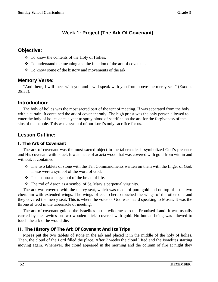# **Week 1: Project (The Ark Of Covenant)**

#### **Objective:**

- $\triangleleft$  To know the contents of the Holy of Holies.
- To understand the meaning and the function of the ark of covenant.
- $\cdot \cdot$  To know some of the history and movements of the ark.

#### **Memory Verse:**

"And there, I will meet with you and I will speak with you from above the mercy seat" (Exodus 25:22).

#### **Introduction:**

The holy of holies was the most sacred part of the tent of meeting. If was separated from the holy with a curtain. It contained the ark of covenant only. The high priest was the only person allowed to enter the holy of holies once a year to spray blood of sacrifice on the ark for the forgiveness of the sins of the people. This was a symbol of our Lord's only sacrifice for us.

## **Lesson Outline:**

#### **I. The Ark of Covenant**

The ark of covenant was the most sacred object in the tabernacle. It symbolized God's presence and His covenant with Israel. It was made of acacia wood that was covered with gold from within and without. It contained:

- \* The two tablets of stone with the Ten Commandments written on them with the finger of God. These were a symbol of the word of God.
- $\triangleleft$  The manna as a symbol of the bread of life.
- The rod of Aaron as a symbol of St. Mary's perpetual virginity.

The ark was covered with the mercy seat, which was made of pure gold and on top of it the two cherubim with extended wings. The wings of each cherub touched the wings of the other one and they covered the mercy seat. This is where the voice of God was heard speaking to Moses. It was the throne of God in the tabernacle of meeting.

The ark of covenant guided the Israelites in the wilderness to the Promised Land. It was usually carried by the Levites on two wooden sticks covered with gold. No human being was allowed to touch the ark or he would die.

#### **II. The History Of The Ark Of Covenant And Its Trips**

Moses put the two tablets of stone in the ark and placed it in the middle of the holy of holies. Then, the cloud of the Lord filled the place. After 7 weeks the cloud lifted and the Israelites starting moving again. Whenever, the cloud appeared in the morning and the column of fire at night they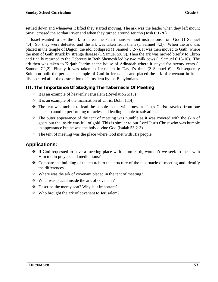settled down and whenever it lifted they started moving. The ark was the leader when they left mount Sinai, crossed the Jordan River and when they turned around Jericho (Josh 6:1-20).

Israel wanted to use the ark to defeat the Palestinians without instructions from God (1 Samuel 4:4). So, they were defeated and the ark was taken from them (1 Samuel 4:3). When the ark was placed in the temple of Dagon, the idol collapsed (1 Samuel 5:2-7). It was then moved to Gath, where the men of Gath struck by strange disease (1 Samuel 5:8,9). Then the ark was moved briefly to Ekron and finally returned to the Hebrews in Beth Shemesh led by two milk cows (1 Samuel 6:13-16). The ark then was taken to Kirjath Jearim at the house of Adinadab where it stayed for twenty years (1 Samuel 7:1,2). Finally it was taken to Jerusalem in David's time (2 Samuel 6). Subsequently Solomon built the permanent temple of God in Jerusalem and placed the ark of covenant in it. It disappeared after the destruction of Jerusalem by the Babylonians.

#### **III. The Importance Of Studying The Tabernacle Of Meeting**

- $\cdot \cdot$  It is an example of heavenly Jerusalem (Revelation 5:15)
- $\cdot \cdot$  It is an example of the incarnation of Christ (John 1:14)
- $\hat{\mathbf{v}}$  The tent was mobile to lead the people in the wilderness as Jesus Christ traveled from one place to another performing miracles and leading people to salvation.
- $\hat{\mathbf{v}}$  The outer appearance of the tent of meeting was humble as it was covered with the skin of goats but the inside was full of gold. This is similar to our Lord Jesus Christ who was humble in appearance but he was the holy divine God (Isaiah 53:2-3).
- The tent of meeting was the place where God met with His people.

- $\div$  If God requested to have a meeting place with us on earth, wouldn't we seek to meet with Him too in prayers and meditations?
- $\triangle$  Compare the building of the church to the structure of the tabernacle of meeting and identify the differences.
- $\cdot \cdot \cdot$  Where was the ark of covenant placed in the tent of meeting?
- What was placed inside the ark of covenant?
- $\triangleleft$  Describe the mercy seat? Why is it important?
- Who brought the ark of covenant to Jerusalem?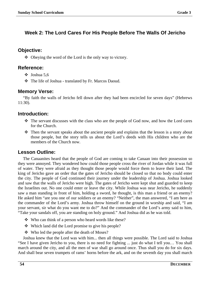# **Week 2: The Lord Cares For His People Before The Walls Of Jericho**

## **Objective:**

 $\triangle$  Obeying the word of the Lord is the only way to victory.

### **Reference:**

- Joshua 5,6
- The life of Joshua translated by Fr. Marcos Daoud.

### **Memory Verse:**

"By faith the walls of Jericho fell down after they had been encircled for seven days" (Hebrews 11:30).

### **Introduction:**

- $\hat{\mathbf{v}}$  The servant discusses with the class who are the people of God now, and how the Lord cares for the Church.
- Then the servant speaks about the ancient people and explains that the lesson is a story about those people, but the story tells us about the Lord's deeds with His children who are the members of the Church now.

## **Lesson Outline:**

The Canaanites heard that the people of God are coming to take Canaan into their possession so they were annoyed. They wondered how could those people cross the river of Jordan while it was full of water. They were afraid as they thought those people would force them to leave their land. The king of Jericho gave an order that the gates of Jericho should be closed so that no body could enter the city. The people of God continued their journey under the leadership of Joshua. Joshua looked and saw that the walls of Jericho were high. The gates of Jericho were kept shut and guarded to keep the Israelites out. No one could enter or leave the city. While Joshua was near Jericho, he suddenly saw a man standing in front of him, holding a sword, he thought, is this man a friend or an enemy? He asked him "are you one of our soldiers or an enemy? "Neither", the man answered, "I am here as the commander of the Lord's army. Joshua throw himself on the ground in worship and said, "I am your servant, sir what do you want me to do?" And the commander of the Lord's army said to him, "Take your sandals off, you are standing on holy ground." And Joshua did as he was told.

- Who can think of a person who heard words like these?
- Which land did the Lord promise to give his people?
- Who led the people after the death of Moses?

Joshua knew that the Lord was with him... then all things were possible. The Lord said to Joshua "See I have given Jericho to you, there is no need for fighting ... just do what I tell you… You shall march around the city, and all the men of war shall go around once. Thus shall you do for six days. And shall bear seven trumpets of rams' horns before the ark, and on the seventh day you shall march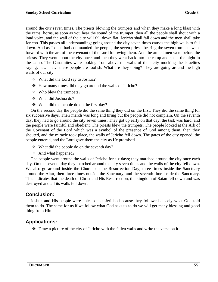around the city seven times. The priests blowing the trumpets and when they make a long blast with the rams' horns, as soon as you hear the sound of the trumpet, then all the people shall shout with a loud voice, and the wall of the city will fall down flat. Jericho shall fall down and the men shall take Jericho. This passes all understanding; going around the city seven times causes the high walls to fall down. And as Joshua had commanded the people, the seven priests bearing the seven trumpets went forward with the ark of the covenant of the Lord following them. And the armed men went before the priests. They went about the city once, and then they went back into the camp and spent the night in the camp. The Canaanites were looking from above the walls of their city mocking the Israelites saying; ha… ha… these people are foolish. What are they doing? They are going around the high walls of our city.

- What did the Lord say to Joshua?
- $\triangleleft$  How many times did they go around the walls of Jericho?
- Who blew the trumpets?
- What did Joshua do?
- What did the people do on the first day?

On the second day the people did the same thing they did on the first. They did the same thing for six successive days. Their march was long and tiring but the people did not complain. On the seventh day, they had to go around the city seven times. They got up early on that day, the task was hard, and the people were faithful and obedient. The priests blew the trumpets. The people looked at the Ark of the Covenant of the Lord which was a symbol of the presence of God among them, then they shouted, and the miracle took place, the walls of Jericho fell down. The gates of the city opened, the people entered, and the Lord gave them the city as He promised.

- ❖ What did the people do on the seventh day?
- ❖ And what happened?

The people went around the walls of Jericho for six days; they marched around the city once each day. On the seventh day they marched around the city seven times and the walls of the city fell down. We also go around inside the Church on the Resurrection Day; three times inside the Sanctuary around the Altar, then three times outside the Sanctuary, and the seventh time inside the Sanctuary. This indicates that the death of Christ and His Resurrection, the kingdom of Satan fell down and was destroyed and all its walls fell down.

#### **Conclusion:**

Joshua and His people were able to take Jericho because they followed closely what God told them to do. The same for us if we follow what God asks us to do we will get many blessing and good thing from Him.

### **Applications:**

Draw a picture of the city of Jericho with the fallen walls and write the verse on it.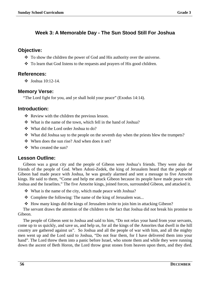## **Week 3: A Memorable Day - The Sun Stood Still For Joshua**

### **Objective:**

- $\div$  To show the children the power of God and His authority over the universe.
- To learn that God listens to the requests and prayers of His good children.

## **References:**

 $\div$  Joshua 10:12-14.

### **Memory Verse:**

"The Lord fight for you, and ye shall hold your peace" (Exodus 14:14).

### **Introduction:**

- $\triangle$  Review with the children the previous lesson.
- What is the name of the town, which fell in the hand of Joshua?
- What did the Lord order Joshua to do?
- What did Joshua say to the people on the seventh day when the priests blew the trumpets?
- When does the sun rise? And when does it set?
- ❖ Who created the sun?

## **Lesson Outline:**

Gibeon was a great city and the people of Gibeon were Joshua's friends. They were also the friends of the people of God. When Adoni-Zedek, the king of Jerusalem heard that the people of Gibeon had made peace with Joshua, he was greatly alarmed and sent a message to five Amorite kings. He said to them, "Come and help me attack Gibeon because its people have made peace with Joshua and the Israelites." The five Amorite kings, joined forces, surrounded Gibeon, and attacked it.

- $\cdot \cdot$  What is the name of the city, which made peace with Joshua?
- Complete the following: The name of the king of Jerusalem was...
- $\div$  How many kings did the kings of Jerusalem invite to join him in attacking Gibeon?

The servant draws the attention of the children to the fact that Joshua did not break his promise to Gibeon.

The people of Gibeon sent to Joshua and said to him, "Do not relax your hand from your servants, come up to us quickly, and save us, and help us, for ail the kings of the Amorites that dwell in the hill country are gathered against us". So Joshua and all the people of war with him, and all the mighty men went up and the Lord said to Joshua, "Do not fear them, for I have delivered them into your hand". The Lord threw them into a panic before Israel, who smote them and while they were running down the ascent of Beth Horon, the Lord throw great stones from heaven upon them, and they died.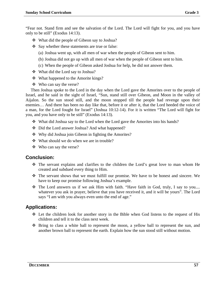"Fear not. Stand firm and see the salvation of the Lord. The Lord will fight for you, and you have only to be still" (Exodus 14:13).

- What did the people of Gibeon say to Joshua?
- Say whether these statements are true or false:
	- (a) Joshua went up, with all men of war when the people of Gibeon sent to him.
	- (b) Joshua did not go up with all men of war when the people of Gibeon sent to him.
	- (c) When the people of Gibeon asked Joshua for help, he did not answer them.
- What did the Lord say to Joshua?
- What happened to the Amorite kings?
- Who can say the verse?

Then Joshua spoke to the Lord in the day when the Lord gave the Amorites over to the people of Israel, and he said in the sight of Israel, "Sun, stand still over Gibeon, and Moon in the valley of Aijalon. So the sun stood still, and the moon stopped till the people had revenge upon their enemies… And there has been no day like that, before it or after it, that the Lord heeded the voice of a man, for the Lord fought for Israel" (Joshua 10:12-14). For it is written "The Lord will fight for you, and you have only to be still" (Exodus 14:13).

- $\div$  What did Joshua say to the Lord when the Lord gave the Amorites into his hands?
- Did the Lord answer Joshua? And what happened?
- Why did Joshua join Gibeon in fighting the Amorites?
- What should we do when we are in trouble?
- Who can say the verse?

### **Conclusion:**

- The servant explains and clarifies to the children the Lord's great love to man whom He created and subdued every thing to Him.
- $\hat{\mathbf{v}}$  The servant shows that we must fulfill our promise. We have to be honest and sincere. We have to keep our promise following Joshua's example.
- $\mathbf{\hat{P}}$  The Lord answers us if we ask Him with faith. "Have faith in God, truly, I say to you.... whatever you ask in prayer, believe that you have received it, and it will be yours". The Lord says "I am with you always even unto the end of age."

- Let the children look for another story in the Bible when God listens to the request of His children and tell it to the class next week.
- Bring to class a white ball to represent the moon, a yellow ball to represent the sun, and another brown ball to represent the earth. Explain how the sun stood still without motion.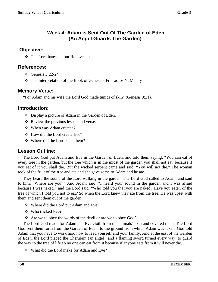## **Week 4: Adam Is Sent Out Of The Garden of Eden (An Angel Guards The Garden)**

#### **Objective:**

 $\div$  The Lord hates sin but He loves man.

## **References:**

- $\div$  Genesis 3:22-24
- The Interpretation of the Book of Genesis Fr. Tadros Y. Malaty

### **Memory Verse:**

"For Adam and his wife the Lord God made tunics of skin" (Genesis 3:21).

## **Introduction:**

- Display a picture of Adam in the Garden of Eden.
- $\triangleleft$  Review the previous lesson and verse.
- ❖ When was Adam created?
- How did the Lord create Eve?
- ❖ Where did the Lord keep them?

## **Lesson Outline:**

The Lord God put Adam and Eve in the Garden of Eden, and told them saying, "You can eat of every tree in the garden, but the tree which is in the midst of the garden you shall not eat, because if you eat of it you shall die. But the wicked serpent came and said, "You will not die." The woman took of the fruit of the tree and ate and she gave some to Adam and he ate.

They heard the sound of the Lord walking in the garden. The Lord God called to Adam, and said to him, "Where are you?" And Adam said, "I heard your sound in the garden and I was afraid because I was naked." and the Lord said, "Who told you that you are naked? Have you eaten of the tree of which I told you not to eat? So when the Lord knew they ate from the tree, He was upset with them and sent them out of the garden.

- ❖ Where did the Lord put Adam and Eve?
- ❖ Who tricked Eve?
- $\triangle$  Are we to obey the words of the devil or are we to obey God?

The Lord God made for Adam and Eve cloth from the animals' skin and covered them. The Lord God sent them forth from the Garden of Eden, to the ground from which Adam was taken. God told Adam that you have to work hard now to feed yourself and your family. And at the east of the Garden of Eden, the Lord placed the Cherubim (an angel), and a flaming sword turned every way, to guard the way to the tree of life so no one can eat from it because if anyone eats from it will never die.

What did the Lord make for Adam and Eve?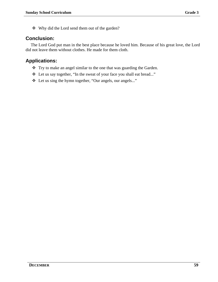Why did the Lord send them out of the garden?

#### **Conclusion:**

The Lord God put man in the best place because he loved him. Because of his great love, the Lord did not leave them without clothes. He made for them cloth.

- \* Try to make an angel similar to the one that was guarding the Garden.
- Let us say together, "In the sweat of your face you shall eat bread..."
- Let us sing the hymn together, "Our angels, our angels..."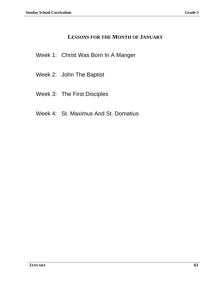## **LESSONS FOR THE MONTH OF JANUARY**

- Week 1: Christ Was Born In A Manger
- Week 2: John The Baptist
- Week 3: The First Disciples
- Week 4: St. Maximus And St. Domatius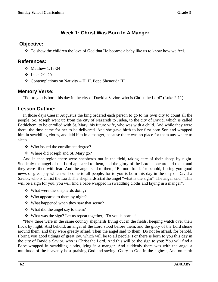## **Week 1: Christ Was Born In A Manger**

#### **Objective:**

\* To show the children the love of God that He became a baby like us to know how we feel.

## **References:**

- $\div$  Matthew 1:18-24
- Luke 2:1-20.
- $\triangleleft$  Contemplations on Nativity H. H. Pope Shenouda III.

## **Memory Verse:**

"For to you is born this day in the city of David a Savior, who is Christ the Lord" (Luke 2:11)

## **Lesson Outline:**

In those days Caesar Augustus the king ordered each person to go to his own city to count all the people. So, Joseph went up from the city of Nazareth to Judea, to the city of David, which is called Bethlehem, to be enrolled with St. Mary, his future wife, who was with a child. And while they were there, the time came for her to be delivered. And she gave birth to her first born Son and wrapped him in swaddling cloths, and laid him in a manger, because there was no place for them any where to sleep.

- $\triangleleft$  Who issued the enrollment degree?
- Where did Joseph and St. Mary go?

And in that region there were shepherds out in the field, taking care of their sheep by night. Suddenly the angel of the Lord appeared to them, and the glory of the Lord shone around them, and they were filled with fear. And the angel said to them, "Be not afraid, for behold, I bring you good news of great joy which will come to all people, for to you is born this day in the city of David a Savior, who is Christ the Lord. The shepherds asked the angel "what is the sign?" The angel said, "This will be a sign for you, you will find a babe wrapped in swaddling cloths and laying in a manger".

- $\triangleleft$  What were the shepherds doing?
- $\triangleleft$  Who appeared to them by night?
- What happened when they saw that scene?
- $\triangleleft$  What did the angel say to them?
- What was the sign? Let us repeat together, "To you is born..."

"Now there were in the same country shepherds living out in the fields, keeping watch over their flock by night. And behold, an angel of the Lord stood before them, and the glory of the Lord shone around them, and they were greatly afraid. Then the angel said to them: Do not be afraid, for behold, I bring you good tidings of great joy, which will be to all people. For there is born to you this day in the city of David a Savior, who is Christ the Lord. And this will be the sign to you: You will find a Babe wrapped in swaddling cloths, lying in a manger. And suddenly there was with the angel a multitude of the heavenly host praising God and saying: Glory to God in the highest, And on earth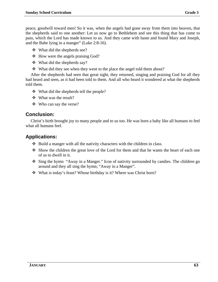peace, goodwill toward men! So it was, when the angels had gone away from them into heaven, that the shepherds said to one another: Let us now go to Bethlehem and see this thing that has come to pass, which the Lord has made known to us. And they came with haste and found Mary and Joseph, and the Babe lying in a manger" (Luke 2:8-16).

- What did the shepherds see?
- $\triangleleft$  How were the angels praising God?
- What did the shepherds say?
- What did they see when they went to the place the angel told them about?

After the shepherds had seen that great sight, they returned, singing and praising God for all they had heard and seen, as it had been told to them. And all who heard it wondered at what the shepherds told them.

- $\triangleleft$  What did the shepherds tell the people?
- What was the result?
- Who can say the verse?

### **Conclusion:**

Christ's birth brought joy to many people and to us too. He was born a baby like all humans to feel what all humans feel.

- $\bullet$  Build a manger with all the nativity characters with the children in class.
- $\div$  Show the children the great love of the Lord for them and that he wants the heart of each one of us to dwell in it.
- Sing the hymn "Away in a Manger." Icon of nativity surrounded by candies. The children go around and they all sing the hymn; "Away in a Manger".
- What is today's feast? Whose birthday is it? Where was Christ born?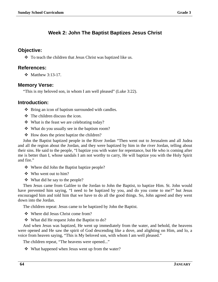## **Week 2: John The Baptist Baptizes Jesus Christ**

### **Objective:**

 $\cdot \cdot$  To teach the children that Jesus Christ was baptized like us.

## **References:**

 $\div$  Matthew 3:13-17.

## **Memory Verse:**

"This is my beloved son, in whom I am well pleased" (Luke 3:22).

## **Introduction:**

- $\triangle$  Bring an icon of baptism surrounded with candles.
- $\triangle$  The children discuss the icon.
- $\triangleleft$  What is the feast we are celebrating today?
- What do you usually see in the baptism room?
- $\div$  How does the priest baptize the children?

John the Baptist baptized people in the River Jordan "Then went out to Jerusalem and all Judea and all the region about the Jordan, and they were baptized by him in the river Jordan, telling about their sins. He said to the people, "I baptize you with water for repentance, but He who is coming after me is better than I, whose sandals I am not worthy to carry, He will baptize you with the Holy Spirit and fire."

- ❖ Where did John the Baptist baptize people?
- ❖ Who went out to him?
- $\triangleleft$  What did he say to the people?

Then Jesus came from Galilee to the Jordan to John the Baptist, to baptize Him. St. John would have prevented him saying, "I need to be baptized by you, and do you come to me?" but Jesus encouraged him and told him that we have to do all the good things. So, John agreed and they went down into the Jordan.

The children repeat: Jesus came to be baptized by John the Baptist.

- Where did Jesus Christ come from?
- What did He request John the Baptist to do?

And when Jesus was baptized, He went up immediately from the water, and behold, the heavens were opened and He saw the spirit of God descending like a dove, and alighting on Him, and lo, a voice from heaven saying, "This is My beloved son, with whom I am well pleased."

The children repeat, "The heavens were opened..."

❖ What happened when Jesus went up from the water?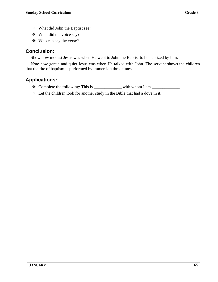- What did John the Baptist see?
- What did the voice say?
- Who can say the verse?

#### **Conclusion:**

Show how modest Jesus was when He went to John the Baptist to be baptized by him.

Note how gentle and quiet Jesus was when He talked with John. The servant shows the children that the rite of baptism is performed by immersion three times.

- Complete the following: This is \_\_\_\_\_\_\_\_\_\_\_\_\_ with whom I am \_\_\_\_\_\_\_\_\_\_\_\_\_
- Let the children look for another study in the Bible that had a dove in it.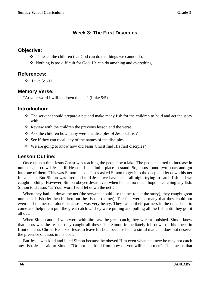## **Week 3: The First Disciples**

### **Objective:**

- \* To teach the children that God can do the things we cannot do.
- Nothing is too difficult for God. He can do anything and everything.

# **References:**

Luke 5:1-11

## **Memory Verse:**

"At your word I will let down the net" (Luke 5:5).

## **Introduction:**

- $\hat{\mathbf{v}}$  The servant should prepare a net and make many fish for the children to hold and act the story with.
- ❖ Review with the children the previous lesson and the verse.
- $\triangle$  Ask the children how many were the disciples of Jesus Christ?
- $\triangle$  See if they can recall any of the names of the disciples.
- We are going to know how did Jesus Christ find His first disciples?

## **Lesson Outline:**

Once upon a time Jesus Christ was teaching the people by a lake. The people started to increase in number and crowd Jesus till He could not find a place to stand. So, Jesus found two boats and got into one of them. This was Simon's boat. Jesus asked Simon to get into the deep and let down his net for a catch. But Simon was tired and told Jesus we have spent all night trying to catch fish and we caught nothing. However, Simon obeyed Jesus even when he had no much hope in catching any fish. Simon told Jesus "at Your word I will let down the net".

When they had let down the net (the servant should use the net to act the story), they caught great number of fish (let the children put the fish in the net). The fish were so many that they could not even pull the net out alone because it was very heavy. They called their partners in the other boat to come and help them pull the great catch… They were pulling and pulling all the fish until they got it all out.

When Simon and all who were with him saw the great catch, they were astonished. Simon knew that Jesus was the reason they caught all these fish. Simon immediately fell down on his knees in front of Jesus Christ. He asked Jesus to leave his boat because he is a sinful man and does not deserve the presence of Jesus in his boat.

But Jesus was kind and liked Simon because he obeyed Him even when he knew he may not catch any fish. Jesus said to Simon: "Do not be afraid from now on you will catch men". This means that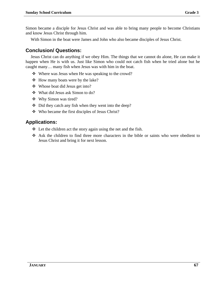Simon became a disciple for Jesus Christ and was able to bring many people to become Christians and know Jesus Christ through him.

With Simon in the boat were James and John who also became disciples of Jesus Christ.

# **Conclusion/ Questions:**

Jesus Christ can do anything if we obey Him. The things that we cannot do alone, He can make it happen when He is with us. Just like Simon who could not catch fish when he tried alone but he caught many… many fish when Jesus was with him in the boat.

- Where was Jesus when He was speaking to the crowd?
- How many boats were by the lake?
- Whose boat did Jesus get into?
- What did Jesus ask Simon to do?
- Why Simon was tired?
- ◆ Did they catch any fish when they went into the deep?
- Who became the first disciples of Jesus Christ?

- $\triangle$  Let the children act the story again using the net and the fish.
- Ask the children to find three more characters in the bible or saints who were obedient to Jesus Christ and bring it for next lesson.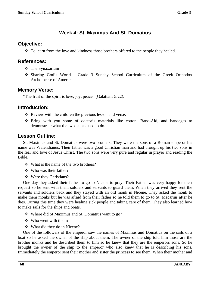# **Week 4: St. Maximus And St. Domatius**

### **Objective:**

• To learn from the love and kindness those brothers offered to the people they healed.

### **References:**

- The Synaxarium
- Sharing God's World Grade 3 Sunday School Curriculum of the Greek Orthodox Archdiocese of America.

### **Memory Verse:**

"The fruit of the spirit is love, joy, peace" (Galatians 5:22).

### **Introduction:**

- $\triangle$  Review with the children the previous lesson and verse.
- Bring with you some of doctor's materials like cotton, Band-Aid, and bandages to demonstrate what the two saints used to do.

### **Lesson Outline:**

St. Maximus and St. Domatius were two brothers. They were the sons of a Roman emperor his name was Walendianus. Their father was a good Christian man and had brought up his two sons in the fear and love of Jesus Christ. The two sons were very pure and regular in prayer and reading the Bible.

- $\div$  What is the name of the two brothers?
- Who was their father?
- ❖ Were they Christians?

One day they asked their father to go to Nicene to pray. Their Father was very happy for their request so he sent with them soldiers and servants to guard them. When they arrived they sent the servants and soldiers back and they stayed with an old monk in Nicene. They asked the monk to make them monks but he was afraid from their father so he told them to go to St. Macarius after he dies. During this time they were healing sick people and taking care of them. They also learned how to make sails for the ships and boats.

- Where did St Maximus and St. Domatius want to go?
- Who went with them?
- What did they do in Nicene?

One of the followers of the emperor saw the names of Maximus and Domatius on the sails of a boat so he asked the owner of the ship about them. The owner of the ship told him those are the brother monks and he described them to him so he knew that they are the emperors sons. So he brought the owner of the ship to the emperor who also knew that he is describing his sons. Immediately the emperor sent their mother and sister the princess to see them. When their mother and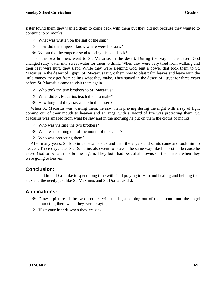sister found them they wanted them to come back with them but they did not because they wanted to continue to be monks.

- $\triangleleft$  What was written on the sail of the ship?
- $\triangleleft$  How did the emperor know where were his sons?
- Whom did the emperor send to bring his sons back?

Then the two brothers went to St. Macarius in the desert. During the way in the desert God changed salty water into sweet water for them to drink. When they were very tired from walking and their feet were hurt, they slept. While they were sleeping God sent a power that took them to St. Macarius in the desert of Egypt. St. Macarius taught them how to plait palm leaves and leave with the little money they get from selling what they make. They stayed in the desert of Egypt for three years before St. Macarius came to visit them again.

- ❖ Who took the two brothers to St. Macarius?
- What did St. Macarius teach them to make?
- $\triangleleft$  How long did they stay alone in the desert?

When St. Macarius was visiting them, he saw them praying during the night with a ray of light coming out of their mouth to heaven and an angel with a sword of fire was protecting them. St. Macarius was amazed from what he saw and in the morning he put on them the cloths of monks.

- ❖ Who was visiting the two brothers?
- What was coming out of the mouth of the saints?
- Who was protecting them?

After many years, St. Maximus became sick and then the angels and saints came and took him to heaven. Three days later St. Domatius also went to heaven the same way like his brother because he asked God to be with his brother again. They both had beautiful crowns on their heads when they were going to heaven.

#### **Conclusion:**

The children of God like to spend long time with God praying to Him and healing and helping the sick and the needy just like St. Maximus and St. Domatius did.

- $\div$  Draw a picture of the two brothers with the light coming out of their mouth and the angel protecting them when they were praying.
- Visit your friends when they are sick.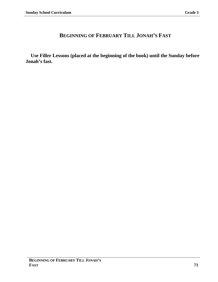# **BEGINNING OF FEBRUARY TILL JONAH'S FAST**

**Use Filler Lessons (placed at the beginning of the book) until the Sunday before Jonah's fast.**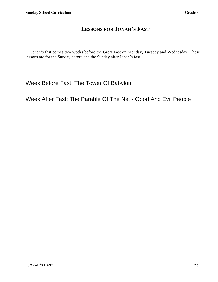# **LESSONS FOR JONAH'S FAST**

Jonah's fast comes two weeks before the Great Fast on Monday, Tuesday and Wednesday. These lessons are for the Sunday before and the Sunday after Jonah's fast.

# Week Before Fast: The Tower Of Babylon

Week After Fast: The Parable Of The Net - Good And Evil People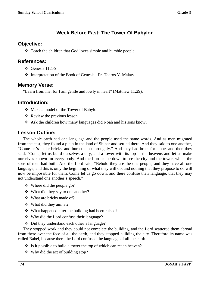# **Week Before Fast: The Tower Of Babylon**

### **Objective:**

Teach the children that God loves simple and humble people.

### **References:**

- $\div$  Genesis 11:1-9
- $\triangleleft$  Interpretation of the Book of Genesis Fr. Tadros Y. Malaty

# **Memory Verse:**

"Learn from me, for I am gentle and lowly in heart" (Matthew 11:29).

### **Introduction:**

- Make a model of the Tower of Babylon.
- $\triangle$  Review the previous lesson.
- Ask the children how many languages did Noah and his sons know?

# **Lesson Outline:**

The whole earth had one language and the people used the same words. And as men migrated from the east, they found a plain in the land of Shinar and settled there. And they said to one another, "Come let's make bricks, and burn them thoroughly." And they had brick for stone, and then they said, "Come, let us build ourselves a city, and a tower with its top in the heavens and let us make ourselves known for every body. And the Lord came down to see the city and the tower, which the sons of men had built. And the Lord said, "Behold they are the one people, and they have all one language, and this is only the beginning of what they will do, and nothing that they propose to do will now be impossible for them. Come let us go down, and there confuse their language, that they may not understand one another's speech."

- Where did the people go?
- $\triangleleft$  What did they say to one another?
- What are bricks made of?
- What did they aim at?
- ❖ What happened after the building had been raised?
- ❖ Why did the Lord confuse their language?
- ❖ Did they understand each other's language?

They stopped work and they could not complete the building, and the Lord scattered them abroad from there over the face of all the earth, and they stopped building the city. Therefore its name was called Babel, because there the Lord confused the language of all the earth.

- $\cdot \cdot$  Is it possible to build a tower the top of which can reach heaven?
- $\triangleleft$  Why did the act of building stop?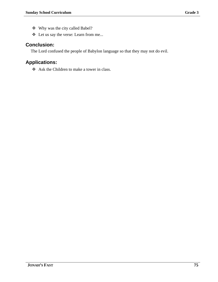- Why was the city called Babel?
- Let us say the verse: Learn from me...

#### **Conclusion:**

The Lord confused the people of Babylon language so that they may not do evil.

# **Applications:**

Ask the Children to make a tower in class.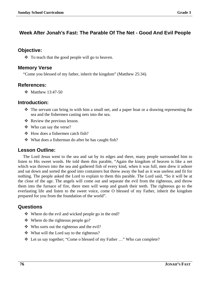# **Week After Jonah's Fast: The Parable Of The Net - Good And Evil People**

### **Objective:**

 $\cdot \cdot$  To teach that the good people will go to heaven.

#### **Memory Verse**

"Come you blessed of my father, inherit the kingdom" (Matthew 25:34).

### **References:**

Matthew 13:47-50

#### **Introduction:**

- $\hat{\mathbf{v}}$  The servant can bring in with him a small net, and a paper boat or a drawing representing the sea and the fishermen casting nets into the sea.
- $\triangleleft$  Review the previous lesson.
- Who can say the verse?
- $\div$  How does a fishermen catch fish?
- ◆ What does a fisherman do after he has caught fish?

### **Lesson Outline:**

The Lord Jesus went to the sea and sat by its edges and there, many people surrounded him to listen to His sweet words. He told them this parable, "Again the kingdom of heaven is like a net which was thrown into the sea and gathered fish of every kind, when it was full, men drew it ashore and sat down and sorted the good into containers but threw away the bad as it was useless and fit for nothing. The people asked the Lord to explain to them this parable. The Lord said, "So it will be at the close of the age. The angels will come out and separate the evil from the righteous, and throw them into the furnace of fire, there men will weep and gnash their teeth. The righteous go to the everlasting life and listen to the sweet voice, come O blessed of my Father, inherit the kingdom prepared for you from the foundation of the world".

# **Questions**

- $\cdot$  Where do the evil and wicked people go in the end?
- $\triangle$  Where do the righteous people go?
- $\triangleleft$  Who sorts out the righteous and the evil?
- ❖ What will the Lord say to the righteous?
- Let us say together; "Come o blessed of my Father …" Who can complete?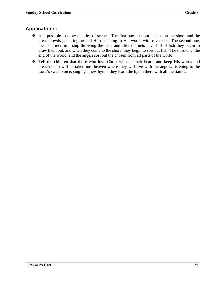- It is possible to draw a series of scenes: The first one, the Lord Jesus on the shore and the great crowds gathering around Him listening to His words with reverence. The second one, the fishermen in a ship throwing the nets, and after the nets have full of fish they begin to draw them out, and when they come to the shore, they begin to sort out fish. The third one, the end of the world, and the angels sort out the chosen from all parts of the world.
- Tell the children that those who love Christ with all their hearts and keep His words and preach them will be taken into heaven where they will live with the angels, listening to the Lord's sweet voice, singing a new hymn, they learn the hymn there with all the Saints.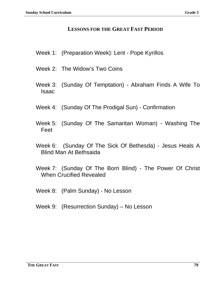# **LESSONS FOR THE GREAT FAST PERIOD**

- Week 1: (Preparation Week): Lent Pope Kyrillos
- Week 2: The Widow's Two Coins
- Week 3: (Sunday Of Temptation) Abraham Finds A Wife To Isaac
- Week 4: (Sunday Of The Prodigal Sun) Confirmation
- Week 5: (Sunday Of The Samaritan Woman) Washing The Feet
- Week 6: (Sunday Of The Sick Of Bethesda) Jesus Heals A Blind Man At Bethsaida
- Week 7: (Sunday Of The Born Blind) The Power Of Christ When Crucified Revealed
- Week 8: (Palm Sunday) No Lesson
- Week 9: (Resurrection Sunday) No Lesson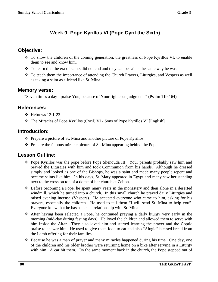# **Week 0: Pope Kyrillos VI (Pope Cyril the Sixth)**

# **Objective:**

- To show the children of the coming generation, the greatness of Pope Kyrillos VI, to enable them to see and know him.
- \* To learn that the era of saints did not end and they can be saints the same way he was.
- \* To teach them the importance of attending the Church Prayers, Liturgies, and Vespers as well as taking a saint as a friend like St. Mina.

#### **Memory verse:**

"Seven times a day I praise You, because of Your righteous judgments" (Psalm 119:164).

# **References:**

- $\div$  Hebrews 12:1-23
- The Miracles of Pope Kyrillos (Cyril) VI Sons of Pope Kyrillos VI [English].

### **Introduction:**

- Prepare a picture of St. Mina and another picture of Pope Kyrillos.
- $\triangle$  Prepare the famous miracle picture of St. Mina appearing behind the Pope.

### **Lesson Outline:**

- Pope Kyrillos was the pope before Pope Shenouda III. Your parents probably saw him and prayed the Liturgies with him and took Communion from his hands. Although he dressed simply and looked as one of the Bishops, he was a saint and made many people repent and became saints like him. In his days, St. Mary appeared in Egypt and many saw her standing next to the cross on top of a dome of her church at Zeiton.
- Before becoming a Pope, he spent many years in the monastery and then alone in a deserted windmill, which he turned into a church. In this small church he prayed daily Liturgies and raised evening incense (Vespers). He accepted everyone who came to him, asking for his prayers, especially the children. He used to tell them "I will send St. Mina to help you". Everyone knew that he has a special relationship with St. Mina.
- After having been selected a Pope, he continued praying a daily liturgy very early in the morning (mid-day during fasting days). He loved the children and allowed them to serve with him inside the Altar. They also loved him and started learning the prayer and the Coptic praise to answer him. He used to give them food to eat and also "Alogia" blessed bread from the Lamb offering for their families.
- Because he was a man of prayer and many miracles happened during his time. One day, one of the children and his older brother were returning home on a bike after serving in a Liturgy with him. A car hit them. On the same moment back in the church, the Pope stepped out of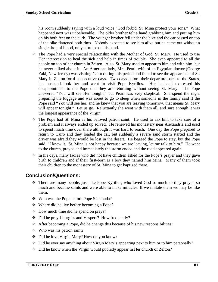his room suddenly saying with a loud voice "God forbid. St. Mina protect your sons." What happened next was unbelievable. The older brother felt a hand grabbing him and putting him on his both feet on the curb. The younger brother fell under the bike and the car passed on top of the bike flattened both rims. Nobody expected to see him alive but he came out without a single drop of blood, only a bruise on his hand.

- The Pope had a very special relationship with the Mother of God, St. Mary. He used to use Her intercession to heal the sick and help in times of trouble. She even appeared to all the people on top of her church in Zeiton. Also, St. Mary used to appear to him and with him, but he never talked about it. An American lady, Mrs. Pearl, wife of an Egyptian doctor (George Zaki, New Jersey) was visiting Cairo during this period and failed to see the appearance of St. Mary in Zeiton for 4 consecutive days. Two days before their departure back to the States, her husband took her and went to visit Pope Kyrillos. Her husband expressed his disappointment to the Pope that they are returning without seeing St. Mary. The Pope answered "You will see Her tonight," but Pearl was very skeptical. She spend the night preparing the luggage and was about to go to sleep when someone in the family said if the Pope said "You will see her, and he knew that you are leaving tomorrow, that means St. Mary will appear tonight." Let us go. Reluctantly she went with them all, and sure enough it was the longest appearance of the Virgin.
- $\hat{\mathbf{v}}$  The Pope had St. Mina as his beloved patron saint. He used to ask him to take care of a problem and it always ended up solved. He renewed his monastery near Alexandria and used to spend much time over there although it was hard to reach. One day the Pope prepared to return to Cairo and they loaded the car, but suddenly a severe sand storm started and the driver was afraid they would be lost in the desert. He begged the Pope to stay, but the Pope said, "I knew it. St. Mina is not happy because we are leaving, let me talk to him." He went to the church, prayed and immediately the storm ended and the road appeared again.
- $\cdot$  In his days, many ladies who did not have children asked for the Pope's prayer and they gave birth to children and if their first-born is a boy they named him Mina. Many of them took their children to the monastery of St. Mina to get baptized there.

### **Conclusion/Questions:**

- There are many people, just like Pope Kyrillos, who loved God so much so they prayed so much and became saints and were able to make miracles. If we imitate them we may be like them.
- Who was the Pope before Pope Shenouda?
- Where did he live before becoming a Pope?
- $\triangleleft$  How much time did he spend on prays?
- Did he pray Liturgies and Vespers? How frequently?
- After becoming a Pope, did he change this because of his new responsibilities?
- Who was his patron saint?
- Did he love Virgin Mary? How do you know?
- Did he ever say anything about Virgin Mary's appearing next to him or to him personally?
- Did he know when the Virgin would publicly appear in Her church of Zeiton?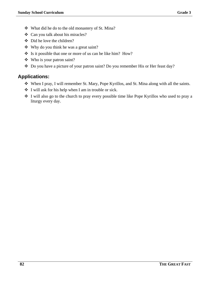- What did he do to the old monastery of St. Mina?
- Can you talk about his miracles?
- Did he love the children?
- Why do you think he was a great saint?
- $\cdot \cdot$  Is it possible that one or more of us can be like him? How?
- Who is your patron saint?
- Do you have a picture of your patron saint? Do you remember His or Her feast day?

- When I pray, I will remember St. Mary, Pope Kyrillos, and St. Mina along with all the saints.
- $\cdot \cdot$  I will ask for his help when I am in trouble or sick.
- I will also go to the church to pray every possible time like Pope Kyrillos who used to pray a liturgy every day.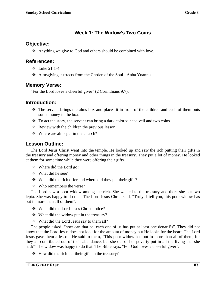# **Week 1: The Widow's Two Coins**

### **Objective:**

Anything we give to God and others should be combined with love.

### **References:**

- Luke 21:1-4
- Almsgiving, extracts from the Garden of the Soul Anba Yoannis

### **Memory Verse:**

"For the Lord loves a cheerful giver" (2 Corinthians 9:7).

### **Introduction:**

- $\hat{\cdot}$  The servant brings the alms box and places it in front of the children and each of them puts some money in the box.
- $\div$  To act the story, the servant can bring a dark colored head veil and two coins.
- Review with the children the previous lesson.
- $\div$  Where are alms put in the church?

### **Lesson Outline:**

The Lord Jesus Christ went into the temple. He looked up and saw the rich putting their gifts in the treasury and offering money and other things in the treasury. They put a lot of money. He looked at them for some time while they were offering their gifts.

- Where did the Lord go?
- What did he see?
- ◆ What did the rich offer and where did they put their gifts?
- Who remembers the verse?

The Lord saw a poor widow among the rich. She walked to the treasury and there she put two lepta. She was happy to do that. The Lord Jesus Christ said, "Truly, I tell you, this poor widow has put in more than all of them".

- What did the Lord Jesus Christ notice?
- What did the widow put in the treasury?
- What did the Lord Jesus say to them all?

The people asked, "how can that be, each one of us has put at least one denarii's". They did not know that the Lord Jesus does not look for the amount of money but He looks for the heart. The Lord Jesus gave them a lesson. He said to them, "This poor widow has put in more than all of them, for they all contributed out of their abundance, but she out of her poverty put in all the living that she had?" The widow was happy to do that. The Bible says, "For God loves a cheerful giver".

 $\triangleleft$  How did the rich put their gifts in the treasury?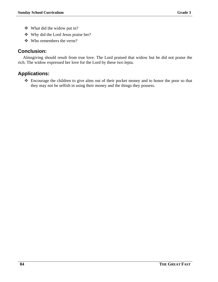- What did the widow put in?
- Why did the Lord Jesus praise her?
- Who remembers the verse?

### **Conclusion:**

Almsgiving should result from true love. The Lord praised that widow but he did not praise the rich. The widow expressed her love for the Lord by these two lepta.

# **Applications:**

 Encourage the children to give alms out of their pocket money and to honor the poor so that they may not be selfish in using their money and the things they possess.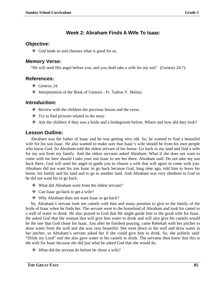# **Week 2: Abraham Finds A Wife To Isaac**

#### **Objective:**

 $\triangleleft$  God leads us and chooses what is good for us.

#### **Memory Verse:**

"He will send His angel before you, and you shall take a wife for my son" (Genesis 24:7).

### **References:**

- $\div$  Genesis 24.
- Interpretation of the Book of Genesis Fr. Tadros Y. Malaty.

### **Introduction:**

- Review with the children the previous lesson and the verse.
- $\mathbf{\hat{P}}$  Try to find pictures related to the story.
- $\triangle$  Ask the children if they saw a bride and a bridegroom before. Where and how did they look?

# **Lesson Outline:**

Abraham was the father of Isaac and he was getting very old. So, he wanted to find a beautiful wife for his son Isaac. He also wanted to make sure that Isaac's wife should be from his own people who know God. So Abraham told the oldest servant of his house: Go back to my land and find a wife for my son from my family. And the oldest servants asked Abraham: What if she does not want to come with me here should I take your son Isaac to see her there. Abraham said: Do not take my son back there, God will send his angel to guide you to choose a wife that will agree to come with you. Abraham did not want his son Isaac to go back because God, long time ago, told him to leave his home, his family and his land and to go to another land. And Abraham was very obedient to God so he did not want his to go back.

- What did Abraham want from the oldest servant?
- Can Isaac go back to get a wife?
- Why Abraham does not want Isaac to go back?

So, Abraham's servant took ten camels with him and many presents to give to the family of the bride of Isaac when he finds her. The servant went to the homeland of Abraham and took his camel to a well of water to drink. He also prayed to God that He might guide him to the good wife for Isaac. He asked God that the woman that will give him water to drink and will also give his camels would be the one that God chose for Isaac. Just after he finished praying, came Rebekah with her pitcher to draw water from the well and she was very beautiful. She went down to the well and draw water in her pitcher, so Abraham's servant asked her if she could give him to drink. So, she politely said: "Drink my Lord" and she also gave water to his camels to drink. The servants then knew that this is the wife for Isaac because she did just what he asked God that she would do.

What did the servant do before he chose a wife?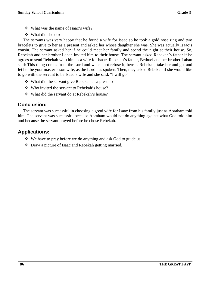- What was the name of Isaac's wife?
- $\mathbf{\hat{\cdot} \cdot}$  What did she do?

The servants was very happy that he found a wife for Isaac so he took a gold nose ring and two bracelets to give to her as a present and asked her whose daughter she was. She was actually Isaac's cousin. The servant asked her if he could meet her family and spend the night at their house. So, Rebekah and her brother Laban invited him to their house. The servant asked Rebekah's father if he agrees to send Rebekah with him as a wife for Isaac. Rebekah's father, Bethuel and her brother Laban said: This thing comes from the Lord and we cannot refuse it, here is Rebekah; take her and go, and let her be your master's son wife, as the Lord has spoken. Then, they asked Rebekah if she would like to go with the servant to be Isaac's wife and she said: "I will go".

- What did the servant give Rebekah as a present?
- Who invited the servant to Rebekah's house?
- What did the servant do at Rebekah's house?

# **Conclusion:**

The servant was successful in choosing a good wife for Isaac from his family just as Abraham told him. The servant was successful because Abraham would not do anything against what God told him and because the servant prayed before he chose Rebekah.

- We have to pray before we do anything and ask God to guide us.
- Draw a picture of Isaac and Rebekah getting married.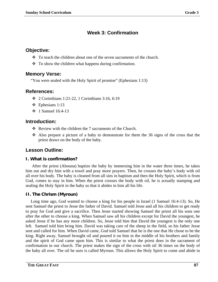# **Week 3: Confirmation**

# **Objective:**

- To teach the children about one of the seven sacraments of the church.
- To show the children what happens during confirmation.

# **Memory Verse:**

"You were sealed with the Holy Spirit of promise" (Ephesians 1:13)

# **References:**

- $\div$  2 Corinthians 1:21-22, 1 Corinthians 3:16, 6:19
- $\div$  Ephesians 1:13
- $\div$  1 Samuel 16:4-13

# **Introduction:**

- \* Review with the children the 7 sacraments of the Church.
- Also prepare a picture of a baby to demonstrate for them the 36 signs of the cross that the priest draws on the body of the baby.

# **Lesson Outline:**

### **I. What is confirmation?**

After the priest (Abouna) baptize the baby by immersing him in the water three times, he takes him out and dry him with a towel and pray more prayers. Then, he crosses the baby's body with oil all over his body. The baby is cleaned from all sins in baptism and then the Holy Spirit, which is from God, comes to stay in him. When the priest crosses the body with oil, he is actually stamping and sealing the Holy Spirit in the baby so that it abides in him all his life.

### **II. The Chrism (Myroun)**

Long time ago, God wanted to choose a king for his people in Israel (1 Samuel 16:4-13). So, He sent Samuel the priest to Jesse the father of David. Samuel told Jesse and all his children to get ready to pray for God and give a sacrifice. Then Jesse started showing Samuel the priest all his sons one after the other to choose a king. When Samuel saw all his children except for David the youngest, he asked Jesse if he has any more children. So, Jesse told him that David the youngest is the only one left. Samuel told him bring him. David was taking care of the sheep in the field, so his father Jesse sent and called for him. When David came, God told Samuel that he is the one that He chose to be the king. Right away, Samuel brought oil and poured it on him in the middle of his brothers and family and the spirit of God came upon him. This is similar to what the priest does in the sacrament of confirmation in our church. The priest makes the sign of the cross with oil 36 times on the body of the baby all over. The oil he uses is called Myroun. This allows the Holy Spirit to come and abide in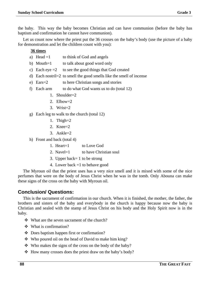the baby. This way the baby becomes Christian and can have communion (before the baby has baptism and confirmation he cannot have communion).

Let us count now where the priest put the 36 crosses on the baby's body (use the picture of a baby for demonstration and let the children count with you):

#### **36 times**

- a) Head  $=1$  to think of God and angels
- b) Mouth=1 to talk about good word only
- c) Each eye  $=2$  to see the good things that God created
- d) Each nostril=2 to smell the good smells like the smell of incense
- e) Ears=2 to here Christian songs and stories
- f) Each arm to do what God wants us to do (total 12)
	- 1. Shoulder= $2$
	- 2.  $Elbow=2$
	- 3. Wrist=2
- g) Each leg to walk to the church (total 12)
	- 1. Thigh=2
	- 2. Knee=2
	- 3. Ankle=2
- h) Front and back (total 4)
	- 1. Heart=1 to Love God
	- 2. Navel=1 to have Christian soul
	- 3. Upper back= 1 to be strong
	- 4. Lower back =1 to behave good

The Myroun oil that the priest uses has a very nice smell and it is mixed with some of the nice perfumes that were on the body of Jesus Christ when he was in the tomb. Only Abouna can make these signs of the cross on the baby with Myroun oil.

#### **Conclusion/ Questions:**

This is the sacrament of confirmation in our church. When it is finished, the mother, the father, the brothers and sisters of the baby and everybody in the church is happy because now the baby is Christian and sealed with the stamp of Jesus Christ on his body and the Holy Spirit now is in the baby.

- ❖ What are the seven sacrament of the church?
- ❖ What is confirmation?
- $\triangleleft$  Does baptism happen first or confirmation?
- $\bullet\bullet\text{ Who poured oil on the head of David to make him king?}$
- $\cdot$  Who makes the signs of the cross on the body of the baby?
- How many crosses does the priest draw on the baby's body?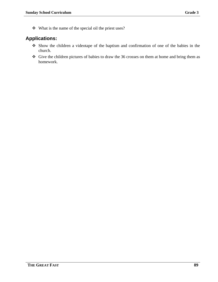What is the name of the special oil the priest uses?

- Show the children a videotape of the baptism and confirmation of one of the babies in the church.
- Give the children pictures of babies to draw the 36 crosses on them at home and bring them as homework.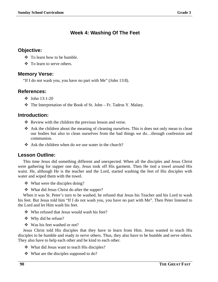# **Week 4: Washing Of The Feet**

### **Objective:**

- **❖** To learn how to be humble.
- To learn to serve others.

# **Memory Verse:**

"If I do not wash you, you have no part with Me" (John 13:8).

# **References:**

- John 13:1-20
- $\triangleleft$  The Interpretation of the Book of St. John Fr. Tadros Y. Malaty.

# **Introduction:**

- $\triangle$  Review with the children the previous lesson and verse.
- Ask the children about the meaning of cleaning ourselves. This is does not only mean to clean our bodies but also to clean ourselves from the bad things we do…through confession and communion.
- Ask the children when do we use water in the church?

# **Lesson Outline:**

This time Jesus did something different and unexpected. When all the disciples and Jesus Christ were gathering for supper one day, Jesus took off His garment. Then He tied a towel around His waist. He, although He is the teacher and the Lord, started washing the feet of His disciples with water and wiped them with the towel.

- $\bullet\bullet$  What were the disciples doing?
- ❖ What did Jesus Christ do after the supper?

When it was St. Peter's turn to be washed, he refused that Jesus his Teacher and his Lord to wash his feet. But Jesus told him "If I do not wash you, you have no part with Me". Then Peter listened to the Lord and let Him wash his feet.

- ❖ Who refused that Jesus would wash his feet?
- Why did he refuse?
- Was his feet washed or not?

Jesus Christ told His disciples that they have to learn from Him. Jesus wanted to teach His disciples to be humble and ready to serve others. Thus, they also have to be humble and serve others. They also have to help each other and be kind to each other.

- ❖ What did Jesus want to teach His disciples?
- $\triangleleft$  What are the disciples supposed to do?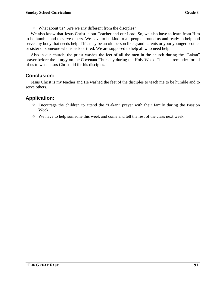What about us? Are we any different from the disciples?

We also know that Jesus Christ is our Teacher and our Lord. So, we also have to learn from Him to be humble and to serve others. We have to be kind to all people around us and ready to help and serve any body that needs help. This may be an old person like grand parents or your younger brother or sister or someone who is sick or tired. We are supposed to help all who need help.

Also in our church, the priest washes the feet of all the men in the church during the "Lakan" prayer before the liturgy on the Covenant Thursday during the Holy Week. This is a reminder for all of us to what Jesus Christ did for his disciples.

#### **Conclusion:**

Jesus Christ is my teacher and He washed the feet of the disciples to teach me to be humble and to serve others.

- Encourage the children to attend the "Lakan" prayer with their family during the Passion Week.
- $\mathbf{\hat{P}}$  We have to help someone this week and come and tell the rest of the class next week.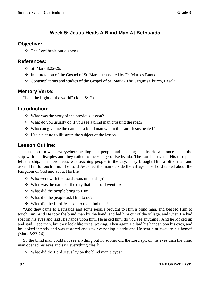# **Week 5: Jesus Heals A Blind Man At Bethsaida**

### **Objective:**

The Lord heals our diseases.

### **References:**

- St. Mark 8:22-26.
- Interpretation of the Gospel of St. Mark translated by Fr. Marcos Daoud.
- Contemplations and studies of the Gospel of St. Mark The Virgin's Church, Fagala.

# **Memory Verse:**

"I am the Light of the world" (John 8:12).

# **Introduction:**

- ❖ What was the story of the previous lesson?
- What do you usually do if you see a blind man crossing the road?
- ◆ Who can give me the name of a blind man whom the Lord Jesus healed?
- Use a picture to illustrate the subject of the lesson.

# **Lesson Outline:**

Jesus used to walk everywhere healing sick people and teaching people. He was once inside the ship with his disciples and they sailed to the village of Bethsaida. The Lord Jesus and His disciples left the ship. The Lord Jesus was teaching people in the city. They brought Him a blind man and asked Him to touch him. The Lord Jesus led the man outside the village. The Lord talked about the Kingdom of God and about His life.

- $\cdot \cdot \cdot$  Who were with the Lord Jesus in the ship?
- What was the name of the city that the Lord went to?
- $\triangleleft$  What did the people bring to Him?
- $\triangleleft$  What did the people ask Him to do?
- What did the Lord Jesus do to the blind man?

"And they came to Bethsaida and some people brought to Him a blind man, and begged Him to touch him. And He took the blind man by the hand, and led him out of the village, and when He had spat on his eyes and laid His hands upon him, He asked him, do you see anything? And he looked up and said, I see men, but they look like trees, waking. Then again He laid his hands upon his eyes, and he looked intently and was restored and saw everything clearly and He sent him away to his home" (Mark 8:22-26).

So the blind man could not see anything but no sooner did the Lord spit on his eyes than the blind man opened his eyes and saw everything clearly.

What did the Lord Jesus lay on the blind man's eyes?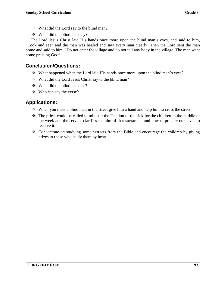- What did the Lord say to the blind man?
- What did the blind man say?

The Lord Jesus Christ laid His hands once more upon the blind man's eyes, and said to him, "Look and see" and the man was healed and saw every man clearly. Then the Lord sent the man home and said to him, "Do not enter the village and do not tell any body in the village. The man went home praising God".

#### **Conclusion/Questions:**

- What happened when the Lord laid His hands once more upon the blind man's eyes?
- What did the Lord Jesus Christ say to the blind man?
- What did the blind man see?
- Who can say the verse?

- When you meet a blind man in the street give him a hand and help him to cross the street.
- The priest could be called to minister the Unction of the sick for the children in the middle of the week and the servant clarifies the aim of that sacrament and how to prepare ourselves to receive it.
- $\triangle$  Concentrate on studying some extracts from the Bible and encourage the children by giving prizes to those who study them by heart.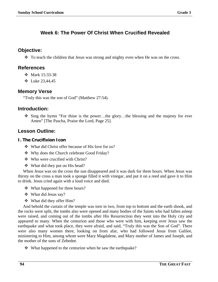# **Week 6: The Power Of Christ When Crucified Revealed**

### **Objective:**

 $\div$  To teach the children that Jesus was strong and mighty even when He was on the cross.

# **References**

- Mark 15:33-38
- Luke 23,44,45

# **Memory Verse**

"Truly this was the son of God" (Matthew 27:54).

# **Introduction:**

 $\hat{\mathbf{v}}$  Sing the hymn "For thine is the power...the glory...the blessing and the majesty for ever Amen" [The Pascha, Praise the Lord, Page 25].

# **Lesson Outline:**

### **I. The Crucifixion Icon**

- What did Christ offer because of His love for us?
- ❖ Why does the Church celebrate Good Friday?
- Who were crucified with Christ?
- ❖ What did they put on His head?

When Jesus was on the cross the sun disappeared and it was dark for three hours. When Jesus was thirsty on the cross a man took a sponge filled it with vinegar, and put it on a reed and gave it to Him to drink. Jesus cried again with a loud voice and died.

- What happened for three hours?
- What did Jesus say?
- What did they offer Him?

And behold the curtain of the temple was torn in two, from top to bottom and the earth shook, and the rocks were split, the tombs also were opened and many bodies of the Saints who had fallen asleep were raised, and coming out of the tombs after His Resurrection they went into the Holy city and appeared to many. When the centurion and those who were with him, keeping over Jesus saw the earthquake and what took place, they were afraid, and said, "Truly this was the Son of God". There were also many women there, looking on from afar, who had followed Jesus from Galilee, ministering to Him, among whom were Mary Magdalene, and Mary mother of James and Joseph, and the mother of the sons of Zebedee.

**→** What happened to the centurion when he saw the earthquake?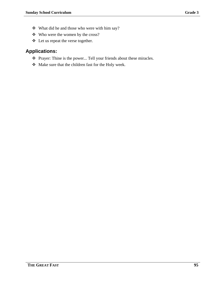- What did he and those who were with him say?
- Who were the women by the cross?
- Let us repeat the verse together.

- Prayer: Thine is the power... Tell your friends about these miracles.
- Make sure that the children fast for the Holy week.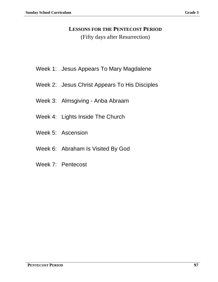# **LESSONS FOR THE PENTECOST PERIOD**

(Fifty days after Resurrection)

- Week 1: Jesus Appears To Mary Magdalene
- Week 2: Jesus Christ Appears To His Disciples
- Week 3: Almsgiving Anba Abraam
- Week 4: Lights Inside The Church
- Week 5: Ascension
- Week 6: Abraham Is Visited By God
- Week 7: Pentecost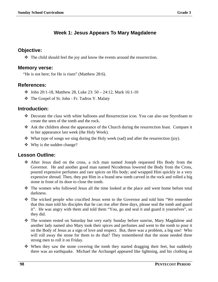# **Week 1: Jesus Appears To Mary Magdalene**

### **Objective:**

• The child should feel the joy and know the events around the resurrection.

### **Memory verse:**

"He is not here; for He is risen" (Matthew 28:6).

# **References:**

- $\div$  John 20:1-18, Matthew 28, Luke 23: 50 24:12, Mark 16:1-10
- The Gospel of St. John Fr. Tadros Y. Malaty

# **Introduction:**

- Decorate the class with white balloons and Resurrection icon. You can also use Styrofoam to create the seen of the tomb and the rock.
- Ask the children about the appearance of the Church during the resurrection feast. Compare it to her appearance last week (the Holy Week).
- $\bullet\bullet\text{ What type of songs we sing during the Holy week (sad) and after the resurrection (joy).}$
- $\div$  Why is the sudden change?

# **Lesson Outline:**

- After Jesus died on the cross, a rich man named Joseph requested His Body from the Governor. He and another good man named Nicodemus lowered the Body from the Cross, poured expensive perfumes and rare spices on His body; and wrapped Him quickly in a very expensive shroud. Then, they put Him in a brand new tomb carved in the rock and rolled a big stone in front of its door to close the tomb.
- The women who followed Jesus all the time looked at the place and went home before total darkness.
- The wicked people who crucified Jesus went to the Governor and told him "We remember that this man told his disciples that he can rise after three days, please seal the tomb and guard it". He was angry with them and told them "You, go and seal it and guard it yourselves", so they did.
- The women rested on Saturday but very early Sunday before sunrise, Mary Magdalene and another lady named also Mary took their spices and perfumes and went to the tomb to pour it on the Body of Jesus as a sign of love and respect. But, there was a problem, a big one! Who will roll away the stone for them to do that? They remembered that the stone needed three strong men to roll it on Friday.
- When they saw the stone covering the tomb they started dragging their feet, but suddenly there was an earthquake. Michael the Archangel appeared like lightning, and his clothing as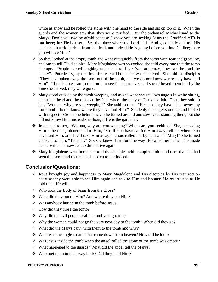white as snow and he rolled the stone with one hand to the side and sat on top of it. When the guards and the women saw that, they were terrified. But the archangel Michael said to the Marys: Don't you two be afraid because I know you are seeking Jesus the Crucified. **"He is not here; for He is risen.** See the place where the Lord laid. And go quickly and tell His disciples that He is risen from the dead, and indeed He is going before you into Galilee; there you will see Him."

- So they looked at the empty tomb and went out quickly from the tomb with fear and great joy, and ran to tell His disciples. Mary Magdalene was so excited she told every one that the tomb is empty. People started laughing at her and told her "you are crazy, how can the tomb be empty". Poor Mary, by the time she reached home she was shattered. She told the disciples "They have taken away the Lord out of the tomb, and we do not know where they have laid Him". The disciples ran to the tomb to see for themselves and she followed them but by the time she arrived, they were gone.
- $\mathbf{\hat{P}}$  Mary stood outside by the tomb weeping, and as she wept she saw two angels in white sitting, one at the head and the other at the feet, where the body of Jesus had laid. Then they said to her, "Woman, why are you weeping?" She said to them, "Because they have taken away my Lord, and I do not know where they have laid Him." Suddenly the angel stood up and looked with respect to Someone behind her. She turned around and saw Jesus standing there, but she did not know Him, instead she thought He is the gardener.
- Jesus said to her, "Woman, why are you weeping? Whom are you seeking?" She, supposing Him to be the gardener, said to Him, "Sir, if You have carried Him away, tell me where You have laid Him, and I will take Him away." Jesus called her by her name "Mary!" She turned and said to Him, "Teacher." So, she knew Him from the way He called her name. This made her sure that she saw Jesus Christ alive again.
- Mary Magdalene went home and told the disciples with complete faith and trust that she had seen the Lord, and that He had spoken to her indeed.

### **Conclusion/Questions:**

- Jesus brought joy and happiness to Mary Magdalene and His disciples by His resurrection because they were able to see Him again and talk to Him and because He resurrected as He told them He will.
- Who took the Body of Jesus from the Cross?
- What did they put on Him? And where they put Him?
- Was anybody buried in the tomb before Jesus?
- $\triangleleft$  How did they close the tomb?
- Why did the evil people seal the tomb and guard it?
- $\div$  Why the women could not go the very next day to the tomb? When did they go?
- $\triangleleft$  What did the Marys carry with them to the tomb and why?
- What was the angle's name that came down from heaven? How did he look?
- Was Jesus inside the tomb when the angel rolled the stone or the tomb was empty?
- What happened to the guards? What did the angel tell the Marys?
- Who met them in their way back? Did they hold Him?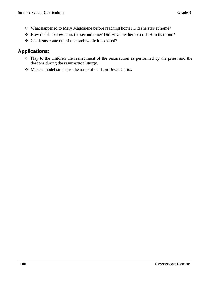- What happened to Mary Magdalene before reaching home? Did she stay at home?
- How did she know Jesus the second time? Did He allow her to touch Him that time?
- Can Jesus come out of the tomb while it is closed?

- Play to the children the reenactment of the resurrection as performed by the priest and the deacons during the resurrection liturgy.
- Make a model similar to the tomb of our Lord Jesus Christ.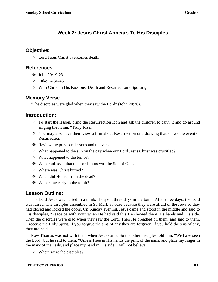# **Week 2: Jesus Christ Appears To His Disciples**

### **Objective:**

Lord Jesus Christ overcomes death.

# **References**

- $\div$  John 20:19-23
- Luke 24:36-43
- With Christ in His Passions, Death and Resurrection Sporting

# **Memory Verse**

"The disciples were glad when they saw the Lord" (John 20:20).

# **Introduction:**

- To start the lesson, bring the Resurrection Icon and ask the children to carry it and go around singing the hymn, "Truly Risen..."
- \* You may also have them view a film about Resurrection or a drawing that shows the event of Resurrection.
- \* Review the previous lessons and the verse.
- **❖** What happened to the sun on the day when our Lord Jesus Christ was crucified?
- What happened to the tombs?
- Who confessed that the Lord Jesus was the Son of God?
- Where was Christ buried?
- When did He rise from the dead?
- ❖ Who came early to the tomb?

# **Lesson Outline:**

The Lord Jesus was buried in a tomb. He spent three days in the tomb. After three days, the Lord was raised. The disciples assembled in St. Mark's house because they were afraid of the Jews so they had closed and locked the doors. On Sunday evening, Jesus came and stood in the middle and said to His disciples, "Peace be with you" when He had said this He showed them His hands and His side. Then the disciples were glad when they saw the Lord. Then He breathed on them, and said to them, "Receive the Holy Spirit. If you forgive the sins of any they are forgiven, if you hold the sins of any, they are held".

Now Thomas was not with them when Jesus came. So the other disciples told him, "We have seen the Lord" but he said to them, "Unless I see in His hands the print of the nails, and place my finger in the mark of the nails, and place my hand in His side, I will not believe".

 $\div$  Where were the disciples?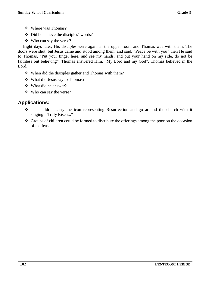- Where was Thomas?
- $\triangleleft$  Did he believe the disciples' words?
- Who can say the verse?

Eight days later, His disciples were again in the upper room and Thomas was with them. The doors were shut, but Jesus came and stood among them, and said, "Peace be with you" then He said to Thomas, "Put your finger here, and see my hands, and put your hand on my side, do not be faithless but believing". Thomas answered Him, "My Lord and my God". Thomas believed in the Lord.

- When did the disciples gather and Thomas with them?
- What did Jesus say to Thomas?
- What did he answer?
- Who can say the verse?

- The children carry the icon representing Resurrection and go around the church with it singing: "Truly Risen..."
- $\div$  Groups of children could be formed to distribute the offerings among the poor on the occasion of the feast.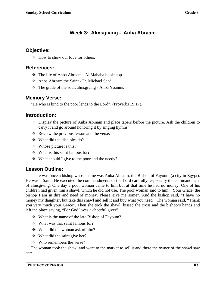# **Week 3: Almsgiving - Anba Abraam**

#### **Objective:**

❖ How to show our love for others.

#### **References:**

- The life of Anba Abraam Al Mahaba bookshop
- Anba Abraam the Saint Fr. Michael Saad
- The grade of the soul, almsgiving Anba Yoannis

#### **Memory Verse:**

"He who is kind to the poor lends to the Lord" (Proverbs 19:17).

### **Introduction:**

- Display the picture of Anba Abraam and place tapers before the picture. Ask the children to carry it and go around honoring it by singing hymns.
- $\triangle$  Review the previous lesson and the verse.
- What did the disciples do?
- $\bullet$  Whose picture is this?
- What is this saint famous for?
- What should I give to the poor and the needy?

### **Lesson Outline:**

There was once a bishop whose name was Anba Abraam, the Bishop of Fayoum (a city in Egypt). He was a Saint. He executed the commandments of the Lord carefully, especially the commandment of almsgiving. One day a poor woman came to him but at that time he had no money. One of his children had given him a shawl, which he did not use. The poor woman said to him, "Your Grace, the bishop I am in dire and need of money. Please give me some". And the bishop said, "I have no money my daughter, but take this shawl and sell it and buy what you need". The woman said, "Thank you very much your Grace". Then she took the shawl, kissed the cross and the bishop's hands and left the place saying, "For God loves a cheerful giver".

- What is the name of the late Bishop of Fayoum?
- What was that saint famous for?
- What did the woman ask of him?
- What did the saint give her?
- Who remembers the verse?

The woman took the shawl and went to the market to sell it and there the owner of the shawl saw her: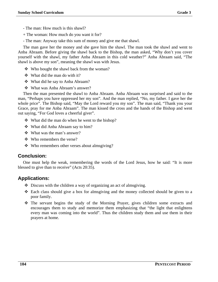- The man: How much is this shawl?
- + The woman: How much do you want it for?
- The man: Anyway take this sum of money and give me that shawl.

The man gave her the money and she gave him the shawl. The man took the shawl and went to Anba Abraam. Before giving the shawl back to the Bishop, the man asked, "Why don't you cover yourself with the shawl, my father Anba Abraam in this cold weather?" Anba Abraam said, "The shawl is above my son", meaning the shawl was with Jesus.

- ❖ Who bought the shawl back from the woman?
- What did the man do with it?
- What did he say to Anba Abraam?
- What was Anba Abraam's answer?

Then the man presented the shawl to Anba Abraam. Anba Abraam was surprised and said to the man, "Perhaps you have oppressed her my son". And the man replied, "No, my father. I gave her the whole price". The Bishop said, "May the Lord reward you my son". The man said, "Thank you your Grace, pray for me Anba Abraam". The man kissed the cross and the hands of the Bishop and went out saying, "For God loves a cheerful giver".

- What did the man do when he went to the bishop?
- What did Anba Abraam say to him?
- What was the man's answer?
- Who remembers the verse?
- ❖ Who remembers other verses about almsgiving?

### **Conclusion:**

One must help the weak, remembering the words of the Lord Jesus, how he said: "It is more blessed to give than to receive" (Acts 20:35).

- Discuss with the children a way of organizing an act of almsgiving.
- Each class should give a box for almsgiving and the money collected should be given to a poor family.
- The servant begins the study of the Morning Prayer, gives children some extracts and encourages them to study and memorize them emphasizing that "the light that enlightens every man was coming into the world". Thus the children study them and use them in their prayers at home.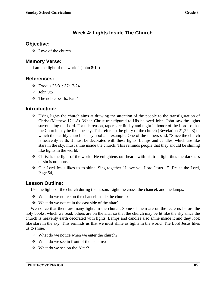# **Week 4: Lights Inside The Church**

### **Objective:**

Love of the church.

#### **Memory Verse:**

"I am the light of the world" (John 8:12)

### **References:**

- Exodus 25:31; 37:17-24
- John 9:5
- The noble pearls, Part 1

#### **Introduction:**

- $\div$  Using lights the church aims at drawing the attention of the people to the transfiguration of Christ (Mathew 17:1-8). When Christ transfigured to His beloved John, John saw the lights surrounding the Lord. For this reason, tapers are lit day and night in honor of the Lord so that the Church may be like the sky. This refers to the glory of the church (Revelation 21,22,23) of which the earthly church is a symbol and example. One of the fathers said, "Since the church is heavenly earth, it must be decorated with these lights. Lamps and candles, which are like stars in the sky, must shine inside the church. This reminds people that they should be shining like lights in the world.
- $\triangle$  Christ is the light of the world. He enlightens our hearts with his true light thus the darkness of sin is no more.
- Our Lord Jesus likes us to shine. Sing together "I love you Lord Jesus…" [Praise the Lord, Page 54].

### **Lesson Outline:**

Use the lights of the church during the lesson. Light the cross, the chancel, and the lamps.

- $\bullet$  What do we notice on the chancel inside the church?
- What do we notice in the east side of the altar?

We notice that there are many lights in the church. Some of them are on the lecterns before the holy books, which we read; others are on the altar so that the church may be lit like the sky since the church is heavenly earth decorated with lights. Lamps and candles also shine inside it and they look like stars in the sky. This reminds us that we must shine as lights in the world. The Lord Jesus likes us to shine.

- $\div$  What do we notice when we enter the church?
- ❖ What do we see in front of the lecterns?
- What do we see on the Altar?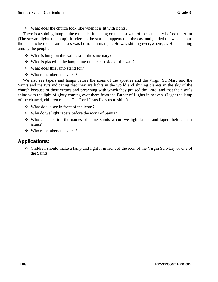$\triangleleft$  What does the church look like when it is lit with lights?

There is a shining lamp in the east side. It is hung on the east wall of the sanctuary before the Altar (The servant lights the lamp). It refers to the star that appeared in the east and guided the wise men to the place where our Lord Jesus was born, in a manger. He was shining everywhere, as He is shining among the people.

- $\triangleleft$  What is hung on the wall east of the sanctuary?
- $\cdot \cdot$  What is placed in the lamp hung on the east side of the wall?
- What does this lamp stand for?
- Who remembers the verse?

We also see tapers and lamps before the icons of the apostles and the Virgin St. Mary and the Saints and martyrs indicating that they are lights in the world and shining planets in the sky of the church because of their virtues and preaching with which they praised the Lord, and that their souls shine with the light of glory coming over them from the Father of Lights in heaven. (Light the lamp of the chancel, children repeat; The Lord Jesus likes us to shine).

- What do we see in front of the icons?
- Why do we light tapers before the icons of Saints?
- Who can mention the names of some Saints whom we light lamps and tapers before their icons?
- Who remembers the verse?

#### **Applications:**

 $\triangle$  Children should make a lamp and light it in front of the icon of the Virgin St. Mary or one of the Saints.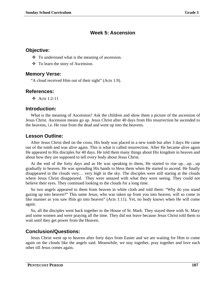## **Week 5: Ascension**

#### **Objective:**

- $\cdot \cdot$  To understand what is the meaning of ascension.
- To learn the story of Ascension.

#### **Memory Verse:**

"A cloud received Him out of their sight" (Acts 1:9).

### **References:**

Acts 1:2-11

#### **Introduction:**

What is the meaning of Ascension? Ask the children and show them a picture of the ascension of Jesus Christ. Ascension means go up. Jesus Christ after 40 days from His resurrection he ascended to the heavens, i.e. He rose from the dead and went up into the heavens.

#### **Lesson Outline:**

After Jesus Christ died on the cross, His body was placed in a new tomb but after 3 days He came out of the tomb and was alive again. This is what is called resurrection. After He became alive again He appeared to His disciples for 40 days. He told them many things about His kingdom in heaven and about how they are supposed to tell every body about Jesus Christ.

At the end of the forty days and as He was speaking to them, He started to rise up…up…up gradually to heaven. He was spreading His hands to bless them when He started to ascend. He finally disappeared in the clouds very… very high in the sky. The disciples were still staring at the clouds where Jesus Christ disappeared. They were amazed with what they were seeing. They could not believe their eyes. They continued looking to the clouds for a long time.

So two angels appeared to them from heaven in white cloth and told them: "Why do you stand gazing up into heaven?" This same Jesus, who was taken up from you into heaven, will so come in like manner as you saw Him go into heaven" (Acts 1:11). Yet, no body knows when He will come again.

So, all the disciples went back together to the House of St. Mark. They stayed there with St. Mary and some women and were praying all the time. They did not leave because Jesus Christ told them to wait until they get power from the Heaven.

### **Conclusion/Questions:**

Jesus Christ went up to heaven after forty days from Easter and we are waiting for Him to come again on the clouds like the angels said. Meanwhile, we stay together, pray together and love each other till Jesus comes again.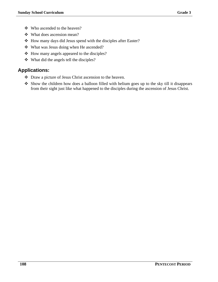- Who ascended to the heaven?
- What does ascension mean?
- \* How many days did Jesus spend with the disciples after Easter?
- What was Jesus doing when He ascended?
- ◆ How many angels appeared to the disciples?
- What did the angels tell the disciples?

- Draw a picture of Jesus Christ ascension to the heaven.
- Show the children how does a balloon filled with helium goes up to the sky till it disappears from their sight just like what happened to the disciples during the ascension of Jesus Christ.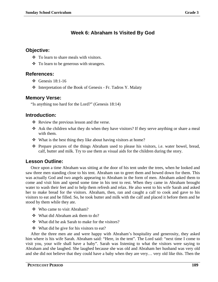# **Week 6: Abraham Is Visited By God**

#### **Objective:**

- $\triangleleft$  To learn to share meals with visitors.
- To learn to be generous with strangers.

### **References:**

- $\div$  Genesis 18:1-16
- Interpretation of the Book of Genesis Fr. Tadros Y. Malaty

### **Memory Verse:**

"Is anything too hard for the Lord?" (Genesis 18:14)

### **Introduction:**

- $\triangleleft$  Review the previous lesson and the verse.
- $\triangle$  Ask the children what they do when they have visitors? If they serve anything or share a meal with them.
- $\triangle$  What is the best thing they like about having visitors at home?
- Prepare pictures of the things Abraham used to please his visitors, i.e. water bowel, bread, calf, butter and milk. Try to use them as visual aids for the children during the story.

# **Lesson Outline:**

Once upon a time Abraham was sitting at the door of his tent under the trees, when he looked and saw three men standing close to his tent. Abraham ran to greet them and bowed down for them. This was actually God and two angels appearing to Abraham in the form of men. Abraham asked them to come and visit him and spend some time in his tent to rest. When they came in Abraham brought water to wash their feet and to help them refresh and relax. He also went to his wife Sarah and asked her to make bread for the visitors. Abraham, then, ran and caught a calf to cook and gave to his visitors to eat and be filled. So, he took butter and milk with the calf and placed it before them and he stood by them while they ate.

- Who came to visit Abraham?
- What did Abraham ask them to do?
- What did he ask Sarah to make for the visitors?
- What did he give for his visitors to eat?

After the three men ate and were happy with Abraham's hospitality and generosity, they asked him where is his wife Sarah. Abraham said: "Here, in the tent". The Lord said: "next time I come to visit you, your wife shall have a baby". Sarah was listening to what the visitors were saying to Abraham and she laughed. She laughed because she was old and Abraham her husband was very old and she did not believe that they could have a baby when they are very… very old like this. Then the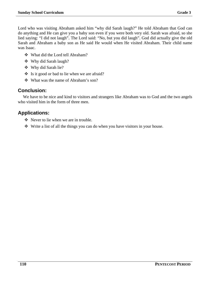Lord who was visiting Abraham asked him "why did Sarah laugh?" He told Abraham that God can do anything and He can give you a baby son even if you were both very old. Sarah was afraid, so she lied saying: "I did not laugh". The Lord said: "No, but you did laugh". God did actually give the old Sarah and Abraham a baby son as He said He would when He visited Abraham. Their child name was Isaac.

- What did the Lord tell Abraham?
- Why did Sarah laugh?
- Why did Sarah lie?
- $\cdot \cdot$  Is it good or bad to lie when we are afraid?
- What was the name of Abraham's son?

# **Conclusion:**

We have to be nice and kind to visitors and strangers like Abraham was to God and the two angels who visited him in the form of three men.

- $\div$  Never to lie when we are in trouble.
- Write a list of all the things you can do when you have visitors in your house.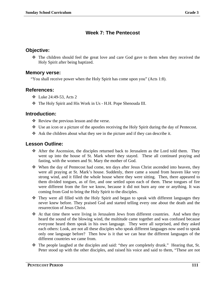# **Week 7: The Pentecost**

#### **Objective:**

 The children should feel the great love and care God gave to them when they received the Holy Spirit after being baptized.

#### **Memory verse:**

"You shall receive power when the Holy Spirit has come upon you" (Acts 1:8).

#### **References:**

- Luke 24:49-53, Acts 2
- The Holy Spirit and His Work in Us H.H. Pope Shenouda III.

#### **Introduction:**

- $\triangleleft$  Review the previous lesson and the verse.
- Use an icon or a picture of the apostles receiving the Holy Spirit during the day of Pentecost.
- $\triangleleft$  Ask the children about what they see in the picture and if they can describe it.

### **Lesson Outline:**

- After the Ascension, the disciples returned back to Jerusalem as the Lord told them. They went up into the house of St. Mark where they stayed. These all continued praying and fasting, with the women and St. Mary the mother of God.
- When the day of Pentecost had come, ten days after Jesus Christ ascended into heaven, they were all praying at St. Mark's house. Suddenly, there came a sound from heaven like very strong wind, and it filled the whole house where they were sitting. Then, there appeared to them divided tongues, as of fire, and one settled upon each of them. These tongues of fire were different from the fire we know, because it did not burn any one or anything. It was coming from God to bring the Holy Spirit to the disciples.
- They were all filled with the Holy Spirit and began to speak with different languages they never knew before. They praised God and started telling every one about the death and the resurrection of Jesus Christ.
- At that time there were living in Jerusalem Jews from different countries. And when they heard the sound of the blowing wind, the multitude came together and was confused because everyone heard them speak in his own language. They were all surprised, and they asked each others: Look, are not all these disciples who speak different languages now used to speak only one language before? Then how is it that we can hear the different languages of the different countries we came from.
- The people laughed at the disciples and said: "they are completely drunk." Hearing that, St. Peter stood up with the other disciples, and raised his voice and said to them, "These are not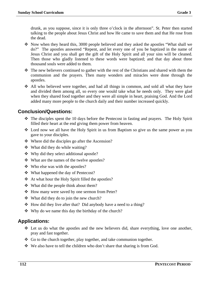drunk, as you suppose, since it is only three o'clock in the afternoon". St. Peter then started talking to the people about Jesus Christ and how He came to save them and that He rose from the dead.

- $\div$  Now when they heard this, 3000 people believed and they asked the apostles "What shall we do?" The apostles answered "Repent, and let every one of you be baptized in the name of Jesus Christ and you shall get the gift of the Holy Spirit and all your sins will be cleaned. Then those who gladly listened to these words were baptized; and that day about three thousand souls were added to them.
- The new believers continued to gather with the rest of the Christians and shared with them the communion and the prayers. Then many wonders and miracles were done through the apostles.
- All who believed were together, and had all things in common, and sold all what they have and divided them among all, so every one would take what he needs only. They were glad when they shared food together and they were all simple in heart, praising God. And the Lord added many more people to the church daily and their number increased quickly.

#### **Conclusion/Questions:**

- The disciples spent the 10 days before the Pentecost in fasting and prayers. The Holy Spirit filled their heart at the end giving them power from heaven.
- Lord now we all have the Holy Spirit in us from Baptism so give us the same power as you gave to your disciples.
- $\triangle$  Where did the disciples go after the Ascension?
- $\cdot \cdot$  What did they do while waiting?
- Why did they select additional apostle?
- ❖ What are the names of the twelve apostles?
- ❖ Who else was with the apostles?
- What happened the day of Pentecost?
- $\triangleleft$  At what hour the Holy Spirit filled the apostles?
- $\triangleleft$  What did the people think about them?
- ◆ How many were saved by one sermon from Peter?
- $\triangleleft$  What did they do to join the new church?
- How did they live after that? Did anybody have a need to a thing?
- $\mathbf{\hat{P}}$  Why do we name this day the birthday of the church?

- $\div$  Let us do what the apostles and the new believers did, share everything, love one another, pray and fast together.
- $\triangleleft$  Go to the church together, play together, and take communion together.
- $\mathbf{\hat{P}}$  We also have to tell the children who don't share that sharing is from God.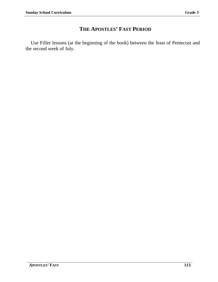# **THE APOSTLES' FAST PERIOD**

Use Filler lessons (at the beginning of the book) between the feast of Pentecost and the second week of July.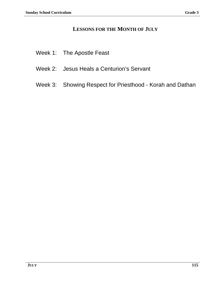# **LESSONS FOR THE MONTH OF JULY**

- Week 1: The Apostle Feast
- Week 2: Jesus Heals a Centurion's Servant
- Week 3: Showing Respect for Priesthood Korah and Dathan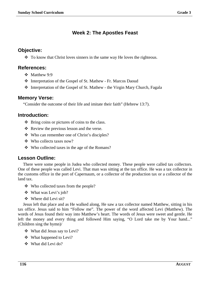# **Week 2: The Apostles Feast**

## **Objective:**

◆ To know that Christ loves sinners in the same way He loves the righteous.

### **References:**

- Matthew 9:9
- Interpretation of the Gospel of St. Mathew Fr. Marcos Daoud
- Interpretation of the Gospel of St. Mathew the Virgin Mary Church, Fagala

### **Memory Verse:**

"Consider the outcome of their life and imitate their faith" (Hebrew 13:7).

# **Introduction:**

- $\triangleleft$  Bring coins or pictures of coins to the class.
- $\triangleleft$  Review the previous lesson and the verse.
- Who can remember one of Christ's disciples?
- $\div$  Who collects taxes now?
- Who collected taxes in the age of the Romans?

# **Lesson Outline:**

There were some people in Judea who collected money. These people were called tax collectors. One of these people was called Levi. That man was sitting at the tax office. He was a tax collector in the customs office in the port of Capernaum, or a collector of the production tax or a collector of the land tax.

- ❖ Who collected taxes from the people?
- ❖ What was Levi's job?
- ❖ Where did Levi sit?

Jesus left that place and as He walked along, He saw a tax collector named Matthew, sitting in his tax office. Jesus said to him "Follow me". The power of the word affected Levi (Matthew). The words of Jesus found their way into Matthew's heart. The words of Jesus were sweet and gentle. He left the money and every thing and followed Him saying, "O Lord take me by Your hand..." (Children sing the hymn)/

- What did Jesus say to Levi?
- ❖ What happened to Levi?
- ❖ What did Levi do?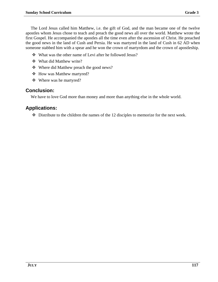The Lord Jesus called him Matthew, i.e. the gift of God, and the man became one of the twelve apostles whom Jesus chose to teach and preach the good news all over the world. Matthew wrote the first Gospel. He accompanied the apostles all the time even after the ascension of Christ. He preached the good news in the land of Cush and Persia. He was martyred in the land of Cush in 62 AD when someone stabbed him with a spear and he won the crown of martyrdom and the crown of apostleship.

- What was the other name of Levi after he followed Jesus?
- What did Matthew write?
- Where did Matthew preach the good news?
- How was Matthew martyred?
- Where was he martyred?

### **Conclusion:**

We have to love God more than money and more than anything else in the whole world.

# **Applications:**

 $\bullet$  Distribute to the children the names of the 12 disciples to memorize for the next week.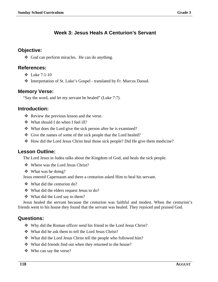# **Week 3: Jesus Heals A Centurion's Servant**

### **Objective:**

 $\triangleleft$  God can perform miracles. He can do anything.

#### **References:**

- Luke 7:1-10
- Interpretation of St. Luke's Gospel translated by Fr. Marcos Daoud.

#### **Memory Verse:**

"Say the word, and let my servant be healed" (Luke 7:7).

#### **Introduction:**

- ❖ Review the previous lesson and the verse.
- What should I do when I feel ill?
- What does the Lord give the sick person after he is examined?
- Give the names of some of the sick people that the Lord healed?
- $\triangle$  How did the Lord Jesus Christ heal those sick people? Did He give them medicine?

### **Lesson Outline:**

The Lord Jesus in Judea talks about the Kingdom of God, and heals the sick people.

- Where was the Lord Jesus Christ?
- What was he doing?

Jesus entered Capernaum and there a centurion asked Him to heal his servant.

- What did the centurion do?
- $\triangleleft$  What did the elders request Jesus to do?
- ❖ What did the Lord say to them?

Jesus healed the servant because the centurion was faithful and modest. When the centurion's friends went to his house they found that the servant was healed. They rejoiced and praised God.

### **Questions:**

- Why did the Roman officer send his friend to the Lord Jesus Christ?
- What did he ask them to tell the Lord Jesus Christ?
- What did the Lord Jesus Christ tell the people who followed him?
- What did friends find out when they returned to the house?
- Who can say the verse?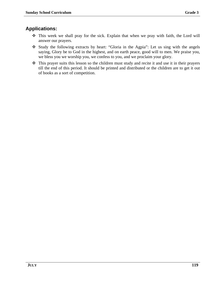- This week we shall pray for the sick. Explain that when we pray with faith, the Lord will answer our prayers.
- Study the following extracts by heart: "Gloria in the Agpia": Let us sing with the angels saying, Glory be to God in the highest, and on earth peace, good will to men. We praise you, we bless you we worship you, we confess to you, and we proclaim your glory.
- This prayer suits this lesson so the children must study and recite it and use it in their prayers till the end of this period. It should be printed and distributed or the children are to get it out of books as a sort of competition.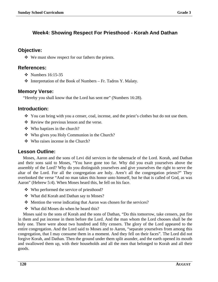# **Week4: Showing Respect For Priesthood - Korah And Dathan**

### **Objective:**

 $\triangleleft$  We must show respect for our fathers the priests.

### **References:**

- $N$ Umbers 16:15-35
- $\triangleleft$  Interpretation of the Book of Numbers Fr. Tadros Y. Malaty.

### **Memory Verse:**

"Hereby you shall know that the Lord has sent me" (Numbers 16:28).

### **Introduction:**

- \* You can bring with you a censer, coal, incense, and the priest's clothes but do not use them.
- $\triangleleft$  Review the previous lesson and the verse.
- $\triangleleft$  Who baptizes in the church?
- **❖** Who gives you Holy Communion in the Church?
- ❖ Who raises incense in the Church?

# **Lesson Outline:**

Moses, Aaron and the sons of Levi did services in the tabernacle of the Lord. Korah, and Dathan and their sons said to Moses, "You have gone too far. Why did you exalt yourselves above the assembly of the Lord? Why do you distinguish yourselves and give yourselves the right to serve the altar of the Lord. For all the congregation are holy. Aren't all the congregation priests?" They overlooked the verse "And no man takes this honor unto himself, but he that is called of God, as was Aaron" (Hebrew 5:4). When Moses heard this, he fell on his face.

- Who performed the service of priesthood?
- What did Korah and Dathan say to Moses?
- ◆ Mention the verse indicating that Aaron was chosen for the services?
- What did Moses do when he heard this?

Moses said to the sons of Korah and the sons of Dathan, "Do this tomorrow, take censers, put fire in them and put incense in them before the Lord. And the man whom the Lord chooses shall be the holy one. There were about two hundred and fifty censers. The glory of the Lord appeared to the entire congregation. And the Lord said to Moses and to Aaron, "separate yourselves from among this congregation, that I may consume them in a moment. And they fell on their faces". The Lord did not forgive Korah, and Dathan. Then the ground under them split asunder, and the earth opened its mouth and swallowed them up, with their households and all the men that belonged to Korah and all their goods.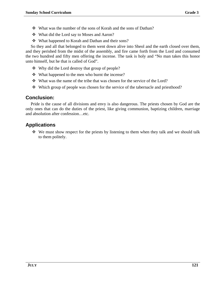- What was the number of the sons of Korah and the sons of Dathan?
- What did the Lord say to Moses and Aaron?
- What happened to Korah and Dathan and their sons?

So they and all that belonged to them went down alive into Sheol and the earth closed over them, and they perished from the midst of the assembly, and fire came forth from the Lord and consumed the two hundred and fifty men offering the incense. The task is holy and "No man takes this honor unto himself, but he that is called of God".

- Why did the Lord destroy that group of people?
- What happened to the men who burnt the incense?
- What was the name of the tribe that was chosen for the service of the Lord?
- $\div$  Which group of people was chosen for the service of the tabernacle and priesthood?

#### **Conclusion:**

Pride is the cause of all divisions and envy is also dangerous. The priests chosen by God are the only ones that can do the duties of the priest, like giving communion, baptizing children, marriage and absolution after confession…etc.

### **Applications**

 $\div$  We must show respect for the priests by listening to them when they talk and we should talk to them politely.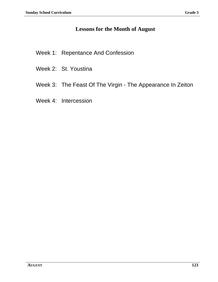# **Lessons for the Month of August**

- Week 1: Repentance And Confession
- Week 2: St. Youstina
- Week 3: The Feast Of The Virgin The Appearance In Zeiton
- Week 4: Intercession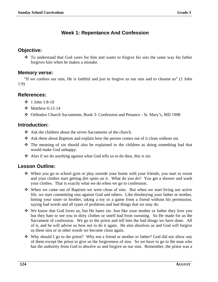# **Week 1: Repentance And Confession**

### **Objective:**

 To understand that God cares for him and wants to forgive his sins the same way his father forgives him when he makes a mistake.

#### **Memory verse:**

"If we confess our sins, He is faithful and just to forgive us our sins and to cleanse us" (1 John 1:9)

#### **References:**

- $\div 1$  John 1:8-10
- $\cdot \cdot \cdot$  Matthew 6:12-14
- Orthodox Church Sacraments, Book 3: Confession and Penance St. Mary's, MD 1998

#### **Introduction:**

- Ask the children about the seven Sacraments of the church.
- $\clubsuit$  Ask them about Baptism and explain how the person comes out of it clean without sin.
- The meaning of sin should also be explained to the children as doing something bad that would make God unhappy.
- $\triangleleft$  Also if we do anything against what God tells us to do then, this is sin.

# **Lesson Outline:**

- When you go to school gym or play outside your home with your friends, you start to sweat and your clothes start getting dirt spots on it. What do you do? You get a shower and wash your clothes. That is exactly what we do when we go to confession.
- When we came out of Baptism we were clean of sins. But when we start living our active life, we start committing sins against God and others. Like disobeying your father or mother, hitting your sister or brother, taking a toy or a game from a friend without his permission, saying bad words and all types of problems and bad things that we may do.
- We know that God loves us, but He hates sin. Just like your mother or father they love you but they hate to see you in dirty clothes or smell bad from sweating. So He made for us the Sacrament of confession. We go to the priest and tell him the bad things we have done. All of it, and he will advise us how not to do it again. He also absolves us and God will forgive us these sins or in other words we become clean again.
- Why should I go to the priest? Why not a friend or mother or father? God did not allow any of them except the priest to give us the forgiveness of sins. So we have to go to the man who has the authority from God to absolve us and forgive us our sins. Remember, the priest was a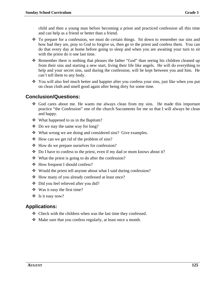child and then a young man before becoming a priest and practiced confession all this time and can help as a friend or better than a friend.

- \* To prepare for a confession, we must do certain things. Sit down to remember our sins and how bad they are, pray to God to forgive us, then go to the priest and confess them. You can do that every day at home before going to sleep and when you are awaiting your turn to sit with the priest do it one last time.
- Remember there is nothing that pleases the father "God" than seeing his children cleaned up from their sins and starting a new start, living their life like angels. He will do everything to help and your secret sins, said during the confession, will be kept between you and him. He can't tell them to any body.
- You will also feel much better and happier after you confess your sins, just like when you put on clean cloth and smell good again after being dirty for some time.

### **Conclusion/Questions:**

- God cares about me. He wants me always clean from my sins. He made this important practice "the Confession" one of the church Sacraments for me so that I will always be clean and happy.
- What happened to us in the Baptism?
- Do we stay the same way for long?
- What wrong we are doing and considered sins? Give examples.
- How can we get rid of the problem of sins?
- How do we prepare ourselves for confession?
- $\triangleleft$  Do I have to confess to the priest, even if my dad or mom knows about it?
- $\triangleleft$  What the priest is going to do after the confession?
- How frequent I should confess?
- Would the priest tell anyone about what I said during confession?
- How many of you already confessed at least once?
- Did you feel relieved after you did?
- Was it easy the first time?
- $\div$  Is it easy now?

- $\triangleleft$  Check with the children when was the last time they confessed.
- Make sure that you confess regularly, at least once a month.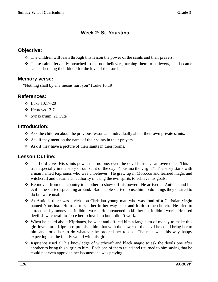# **Week 2: St. Youstina**

## **Objective:**

- $\div$  The children will learn through this lesson the power of the saints and their prayers.
- These saints fervently preached to the non-believers, turning them to believers, and became saints shedding their blood for the love of the Lord.

#### **Memory verse:**

"Nothing shall by any means hurt you" (Luke 10:19).

### **References:**

- Luke 10:17-20
- Hebrews 13:7
- Synaxarium, 21 Tute

#### **Introduction:**

- Ask the children about the previous lesson and individually about their own private saints.
- $\triangleleft$  Ask if they mention the name of their saints in their prayers.
- $\triangleleft$  Ask if they have a picture of their saints in their rooms.

### **Lesson Outline:**

- $\hat{\mathbf{v}}$  The Lord gives His saints power that no one, even the devil himself, can overcome. This is true especially in the story of our saint of the day "Youstina the virgin." The story starts with a man named Kiprianos who was unbeliever. He grew up in Morocco and learned magic and witchcraft and became an authority in using the evil spirits to achieve his goals.
- He moved from one country to another to show off his power. He arrived at Antioch and his evil fame started spreading around. Bad people started to use him to do things they desired to do but were unable.
- $\triangleleft$  At Antioch there was a rich non-Christian young man who was fond of a Christian virgin named Youstina. He used to see her in her way back and forth to the church. He tried to attract her by money but it didn't work. He threatened to kill her but it didn't work. He used devilish witchcraft to force her to love him but it didn't work.
- When he heard about Kiprianos, he went and offered him a large sum of money to make this girl love him. Kiprianos promised him that with the power of the devil he could bring her to him and force her to do whatever he ordered her to do. The man went his way happy expecting that he finally would win this girl.
- $\triangle$  Kiprianos used all his knowledge of witchcraft and black magic to ask the devils one after another to bring this virgin to him. Each one of them failed and returned to him saying that he could not even approach her because she was praying.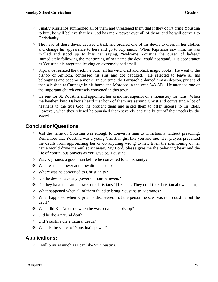- Finally Kiprianos summoned all of them and threatened them that if they don't bring Youstina to him, he will believe that her God has more power over all of them; and he will convert to Christianity.
- $\div$  The head of these devils devised a trick and ordered one of his devils to dress in her clothes and change his appearance to hers and go to Kiprianos. When Kiprianos saw him, he was thrilled and stood up to kiss her saying, "welcome Youstina the queen of ladies." Immediately following the mentioning of her name the devil could not stand. His appearance as Youstina disintegrated leaving an extremely bad smell.
- \* Kiprianos realized the trick; he burnt all his witchcraft and black magic books. He went to the bishop of Antioch, confessed his sins and got baptized. He selected to leave all his belongings and become a monk. In due time, the Patriarch ordained him as deacon, priest and then a bishop at Carthage in his homeland Morocco in the year 348 AD. He attended one of the important church counsels convened in this town.
- $\div$  He sent for St. Youstina and appointed her as mother superior on a monastery for nuns. When the heathen king Dakious heard that both of them are serving Christ and converting a lot of heathens to the true God, he brought them and asked them to offer incense to his idols. However, when they refused he punished them severely and finally cut off their necks by the sword.

### **Conclusion/Questions.**

- Just the name of Youstina was enough to convert a man to Christianity without preaching. Remember that Youstina was a young Christian girl like you and me. Her prayers prevented the devils from approaching her or do anything wrong to her. Even the mentioning of her name would drive the evil spirit away. My Lord, please give me the believing heart and the life of continuous prayers as you gave St. Youstina.
- Was Kiprianos a good man before he converted to Christianity?
- What was his power and how did he use it?
- Where was he converted to Christianity?
- Do the devils have any power on non-believers?
- Do they have the same power on Christians? [Teacher: They do if the Christian allows them]
- What happened when all of them failed to bring Youstina to Kiprianos?
- What happened when Kiprianos discovered that the person he saw was not Youstina but the devil?
- What did Kiprianos do when he was ordained a bishop?
- Did he die a natural death?
- Did Youstina die a natural death?
- What is the secret of Youstina's power?

#### **Applications:**

I will pray as much as I can like St. Youstina.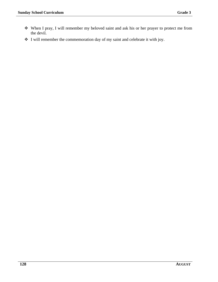- When I pray, I will remember my beloved saint and ask his or her prayer to protect me from the devil.
- I will remember the commemoration day of my saint and celebrate it with joy.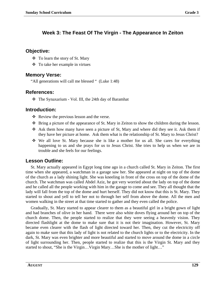# **Week 3: The Feast Of The Virgin - The Appearance In Zeiton**

#### **Objective:**

- To learn the story of St. Mary
- To take her example in virtues

### **Memory Verse:**

"All generations will call me blessed " (Luke 1:48)

### **References:**

The Synaxarium - Vol. III, the 24th day of Baramhat

### **Introduction:**

- $\triangleleft$  Review the previous lesson and the verse.
- Bring a picture of the appearance of St. Mary in Zeiton to show the children during the lesson.
- Ask them how many have seen a picture of St, Mary and where did they see it. Ask them if they have her picture at home. Ask them what is the relationship of St. Mary to Jesus Christ?
- We all love St. Mary because she is like a mother for us all. She cares for everything happening to us and she prays for us to Jesus Christ. She tries to help us when we are in trouble and she feels for our feelings.

# **Lesson Outline:**

St. Mary actually appeared in Egypt long time ago in a church called St. Mary in Zeiton. The first time when she appeared, a watchman in a garage saw her. She appeared at night on top of the dome of the church as a lady shining light. She was kneeling in front of the cross on top of the dome of the church. The watchman was called Abdel Aziz, he got very worried about the lady on top of the dome and he called all the people working with him in the garage to come and see. They all thought that the lady will fall from the top of the dome and hurt herself. They did not know that this is St. Mary. They started to shout and yell to tell her not to through her self from above the dome. All the men and women walking in the street at that time started to gather and they even called the police.

Gradually, St. Mary started to appear clearer to them as a beautiful girl in a bright gown of light and had branches of olive in her hand. There were also white doves flying around her on top of the church dome. Then, the people started to realize that they were seeing a heavenly vision. They directed flashlight at the dome to make sure that it is not their imagination. However, St. Mary became even clearer with the flash of light directed toward her. Then, they cut the electricity off again to make sure that this lady of light is not related to the church lights or to the electricity. In the dark, St. Mary was even brighter and more beautiful and started to move around the dome in a circle of light surrounding her. Then, people started to realize that this is the Virgin St. Mary and they started to shout, "She is the Virgin…Virgin Mary…She is the mother of light…"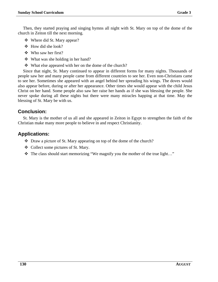Then, they started praying and singing hymns all night with St. Mary on top of the dome of the church in Zeiton till the next morning.

- Where did St. Mary appear?
- $\div$  How did she look?
- Who saw her first?
- $\bullet\bullet\text{ What was she holding in her hand?}$
- $\triangle$  What else appeared with her on the dome of the church?

Since that night, St. Mary continued to appear in different forms for many nights. Thousands of people saw her and many people came from different countries to see her. Even non-Christians came to see her. Sometimes she appeared with an angel behind her spreading his wings. The doves would also appear before, during or after her appearance. Other times she would appear with the child Jesus Christ on her hand. Some people also saw her raise her hands as if she was blessing the people. She never spoke during all these nights but there were many miracles happing at that time. May the blessing of St. Mary be with us.

### **Conclusion:**

St. Mary is the mother of us all and she appeared in Zeiton in Egypt to strengthen the faith of the Christian make many more people to believe in and respect Christianity.

- Draw a picture of St. Mary appearing on top of the dome of the church?
- $\triangleleft$  Collect some pictures of St. Mary.
- The class should start memorizing "We magnify you the mother of the true light…"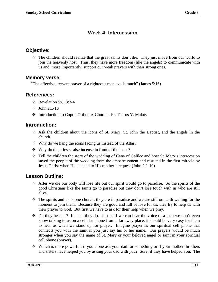# **Week 4: Intercession**

# **Objective:**

\* The children should realize that the great saints don't die. They just move from our world to join the heavenly host. Thus, they have more freedom (like the angels) to communicate with us and, more importantly, support our weak prayers with their strong ones.

### **Memory verse:**

"The effective, fervent prayer of a righteous man avails much" (James 5:16).

### **References:**

- $\div$  Revelation 5:8; 8:3-4
- $\div$  John 2:1-10
- ❖ Introduction to Coptic Orthodox Church Fr. Tadros Y. Malaty

# **Introduction:**

- Ask the children about the icons of St. Mary, St. John the Baptist, and the angels in the church.
- Why do we hang the icons facing us instead of the Altar?
- Why do the priests raise incense in front of the icons?
- $\div$  Tell the children the story of the wedding of Cana of Galilee and how St. Mary's intercession saved the people of the wedding from the embarrassment and resulted in the first miracle by Jesus Christ when He listened to His mother's request (John 2:1-10).

# **Lesson Outline:**

- After we die our body will lose life but our spirit would go to paradise. So the spirits of the good Christians like the saints go to paradise but they don't lose touch with us who are still alive.
- The spirits and us is one church, they are in paradise and we are still on earth waiting for the moment to join them. Because they are good and full of love for us, they try to help us with their prayer to God. But first we have to ask for their help when we pray.
- $\div$  Do they hear us? Indeed, they do. Just as if we can hear the voice of a man we don't even know talking to us on a cellular phone from a far away place, it should be very easy for them to hear us when we stand up for prayer. Imagine prayer as our spiritual cell phone that connects you with the saint if you just say his or her name. Our prayers would be much stronger when you say the name of St. Mary or your beloved angel or saint in your spiritual cell phone (prayer).
- Which is more powerful: if you alone ask your dad for something or if your mother, brothers and sisters have helped you by asking your dad with you? Sure, if they have helped you. The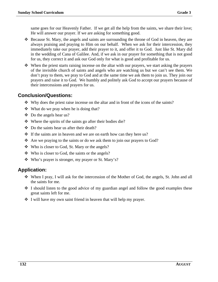same goes for our Heavenly Father. If we get all the help from the saints, we share their love; He will answer our prayer. If we are asking for something good.

- Because St. Mary, the angels and saints are surrounding the throne of God in heaven, they are always praising and praying to Him on our behalf. When we ask for their intercession, they immediately take our prayer, add their prayer to it, and offer it to God. Just like St. Mary did in the wedding of Cana of Galilee. And, if we ask in our prayer for something that is not good for us, they correct it and ask our God only for what is good and profitable for us.
- $\lozenge$  When the priest starts raising incense on the altar with our prayers, we start asking the prayers of the invisible church of saints and angels who are watching us but we can't see them. We don't pray to them, we pray to God and at the same time we ask them to join us. They join our prayers and raise it to God. We humbly and politely ask God to accept our prayers because of their intercessions and prayers for us.

#### **Conclusion/Questions:**

- Why does the priest raise incense on the altar and in front of the icons of the saints?
- $\triangleleft$  What do we pray when he is doing that?
- $\bullet$  Do the angels hear us?
- $\triangle$  Where the spirits of the saints go after their bodies die?
- $\triangle$  Do the saints hear us after their death?
- $\cdot \cdot$  If the saints are in heaven and we are on earth how can they here us?
- $\triangle$  Are we praying to the saints or do we ask them to join our prayers to God?
- Who is closer to God, St. Mary or the angels?
- $\bullet\bullet\text{ Who is closer to God, the saints or the angles?}$
- Who's prayer is stronger, my prayer or St. Mary's?

- When I pray, I will ask for the intercession of the Mother of God, the angels, St. John and all the saints for me.
- $\cdot$  I should listen to the good advice of my guardian angel and follow the good examples these great saints left for me.
- ❖ I will have my own saint friend in heaven that will help my prayer.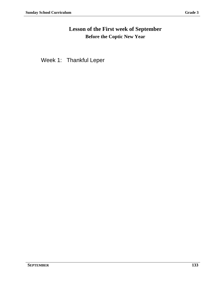# **Lesson of the First week of September Before the Coptic New Year**

Week 1: Thankful Leper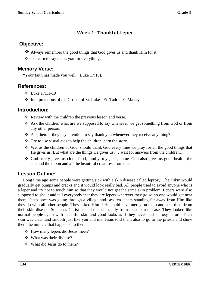# **Week 1: Thankful Leper**

#### **Objective:**

- Always remember the good things that God gives us and thank Him for it.
- $\bullet$  To learn to say thank you for everything.

### **Memory Verse:**

"Your faith has made you well" (Luke 17:19).

# **References:**

- $\div$  Luke 17:11-19
- Interpretations of the Gospel of St. Luke Fr. Tadros Y. Malaty

### **Introduction:**

- ❖ Review with the children the previous lesson and verse.
- Ask the children what are we supposed to say whenever we get something from God or from any other person.
- Ask them if they pay attention to say thank you whenever they receive any thing?
- $\mathbf{\hat{P}}$  Try to use visual aids to help the children learn the story.
- We, as the children of God, should thank God every time we pray for all the good things that He gives us. But what are the things He gives us? …wait for answers from the children…
- God surely gives us cloth, food, family, toys, car, home. God also gives us good health, the sun and the moon and all the beautiful creatures around us.

# **Lesson Outline:**

Long time ago some people were getting sick with a skin disease called leprosy. Their skin would gradually get pumps and cracks and it would look really bad. All people used to avoid anyone who is a leper and try not to touch him so that they would not get the same skin problem. Lepers were also supposed to shout and tell everybody that they are lepers wherever they go so no one would get near them. Jesus once was going through a village and saw ten lepers standing far away from Him like they do with all other people. They asked Him if He could have mercy on them and heal them from their skin disease. So, Jesus Christ healed them instantly from their skin disease. They looked like normal people again with beautiful skin and good looks as if they never had leprosy before. Their skin was clean and smooth just like you and me. Jesus told them also to go to the priests and show them the miracle that happened to them.

- $\triangleleft$  How many lepers did Jesus meet?
- ❖ What was their disease?
- What did Jesus do to them?